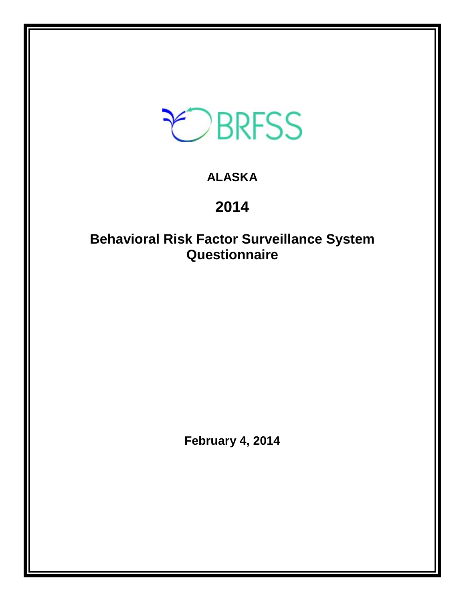

# **ALASKA**

# **2014**

# **Behavioral Risk Factor Surveillance System Questionnaire**

**February 4, 2014**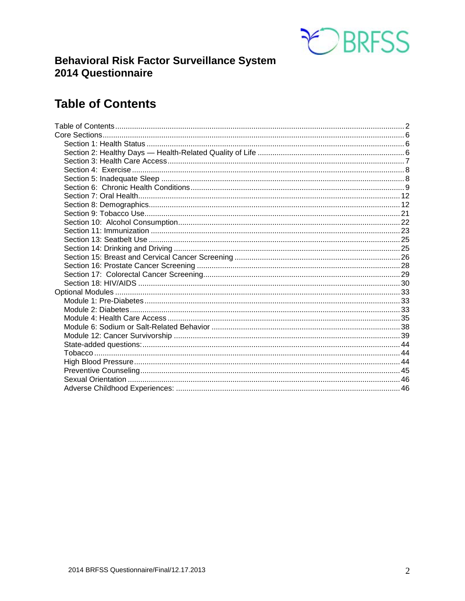

# **Behavioral Risk Factor Surveillance System** 2014 Questionnaire

# <span id="page-1-0"></span>**Table of Contents**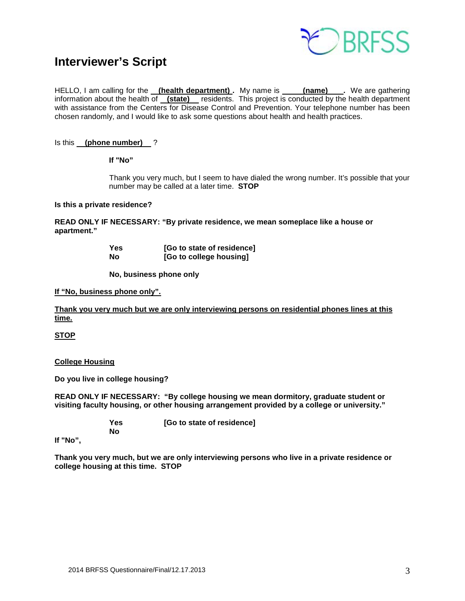

# **Interviewer's Script**

HELLO, I am calling for the **(health department)** My name is **(name)** Ne are gathering information about the health of **(state)** residents. This project is conducted by the health department with assistance from the Centers for Disease Control and Prevention. Your telephone number has been chosen randomly, and I would like to ask some questions about health and health practices.

#### Is this **(phone number)** ?

**If "No"** 

Thank you very much, but I seem to have dialed the wrong number. It's possible that your number may be called at a later time. **STOP**

#### **Is this a private residence?**

**READ ONLY IF NECESSARY: "By private residence, we mean someplace like a house or apartment."**

| Yes | [Go to state of residence] |
|-----|----------------------------|
| Nο  | [Go to college housing]    |

 **No, business phone only**

#### **If "No, business phone only".**

**Thank you very much but we are only interviewing persons on residential phones lines at this time.**

**STOP**

#### **College Housing**

**Do you live in college housing?** 

**READ ONLY IF NECESSARY: "By college housing we mean dormitory, graduate student or visiting faculty housing, or other housing arrangement provided by a college or university."**

> **Yes [Go to state of residence] No**

**If "No",**

**Thank you very much, but we are only interviewing persons who live in a private residence or college housing at this time. STOP**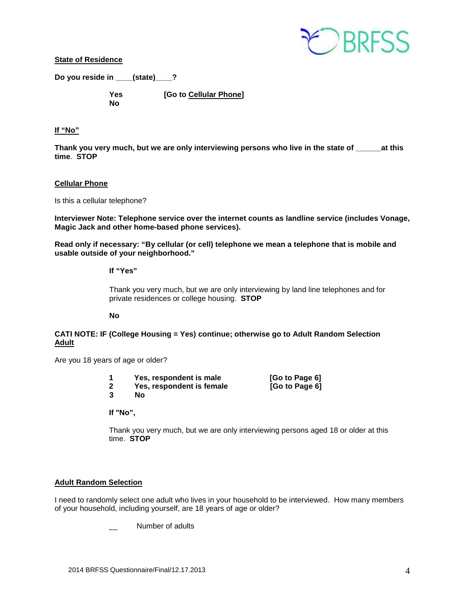

**State of Residence**

**Do you reside in \_\_\_\_(state)\_\_\_\_?** 

 **No** 

 **Yes [Go to Cellular Phone]** 

### **If "No"**

Thank you very much, but we are only interviewing persons who live in the state of at this **time**. **STOP**

#### **Cellular Phone**

Is this a cellular telephone?

**Interviewer Note: Telephone service over the internet counts as landline service (includes Vonage, Magic Jack and other home-based phone services).**

**Read only if necessary: "By cellular (or cell) telephone we mean a telephone that is mobile and usable outside of your neighborhood."** 

#### **If "Yes"**

Thank you very much, but we are only interviewing by land line telephones and for private residences or college housing. **STOP**

**No**

### **CATI NOTE: IF (College Housing = Yes) continue; otherwise go to Adult Random Selection Adult**

Are you 18 years of age or older?

| Yes, respondent is male   | [Go to Page 6] |
|---------------------------|----------------|
| Yes, respondent is female | [Go to Page 6] |
| <b>No</b>                 |                |
|                           |                |

**If "No",**

Thank you very much, but we are only interviewing persons aged 18 or older at this time. **STOP** 

#### **Adult Random Selection**

I need to randomly select one adult who lives in your household to be interviewed. How many members of your household, including yourself, are 18 years of age or older?

Number of adults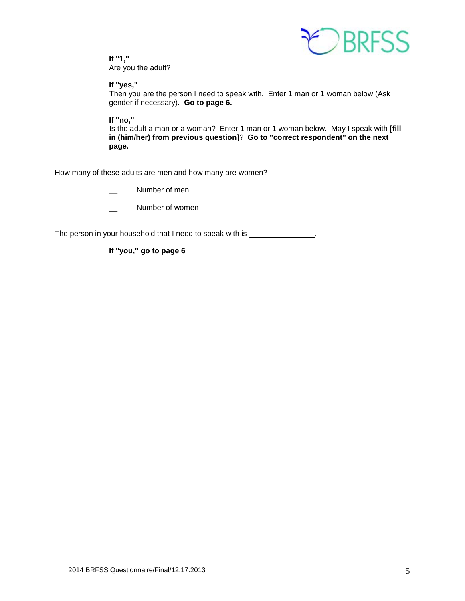

**If "1,"**  Are you the adult?

**If "yes,"** 

Then you are the person I need to speak with. Enter 1 man or 1 woman below (Ask gender if necessary). **Go to page 6.**

**If "no,"** 

Is the adult a man or a woman? Enter 1 man or 1 woman below. May I speak with **[fill in (him/her) from previous question]**? **Go to "correct respondent" on the next page.**

How many of these adults are men and how many are women?

Number of men

\_\_ Number of women

The person in your household that I need to speak with is \_\_\_\_\_\_\_\_\_\_\_\_\_\_.

**If "you," go to page 6**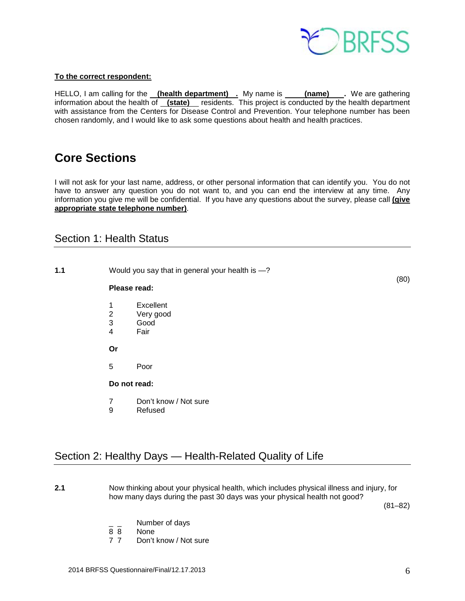

#### **To the correct respondent:**

HELLO, I am calling for the **(health department)** . My name is **(name)** . We are gathering information about the health of **(state)** residents. This project is conducted by the health department with assistance from the Centers for Disease Control and Prevention. Your telephone number has been chosen randomly, and I would like to ask some questions about health and health practices.

# <span id="page-5-0"></span>**Core Sections**

I will not ask for your last name, address, or other personal information that can identify you. You do not have to answer any question you do not want to, and you can end the interview at any time. Any information you give me will be confidential. If you have any questions about the survey, please call **(give appropriate state telephone number)**.

## <span id="page-5-1"></span>Section 1: Health Status

**1.1** Would you say that in general your health is  $-$ ?  $(80)$ 

## **Please read:**

- 
- 1 Excellent<br>2 Very good Very good
- 3 Good
- **Fair**

**Or**

5 Poor

**Do not read:**

- 7 Don't know / Not sure<br>9 Refused
- **Refused**

# <span id="page-5-2"></span>Section 2: Healthy Days — Health-Related Quality of Life

**2.1** Now thinking about your physical health, which includes physical illness and injury, for how many days during the past 30 days was your physical health not good?

 $(81-82)$ 

- $\frac{1}{8}$   $\frac{1}{8}$  Number of days
- 8 8 None<br>7 7 Don't
- Don't know / Not sure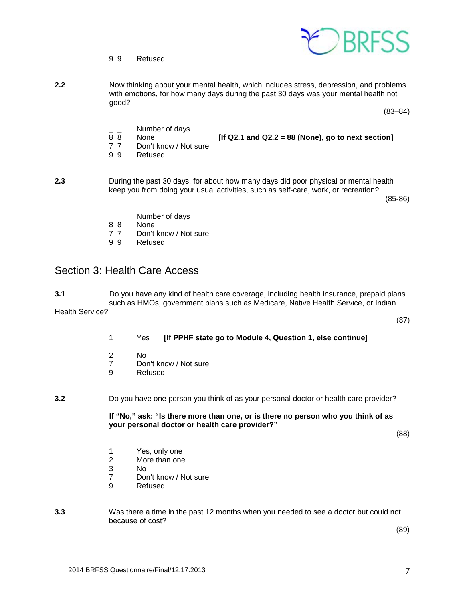

- 9 9 Refused
- **2.2** Now thinking about your mental health, which includes stress, depression, and problems with emotions, for how many days during the past 30 days was your mental health not good?

 $(83-84)$ 

- $\frac{1}{8}$   $\frac{1}{8}$  Number of days
	- 8 8 None **[If Q2.1 and Q2.2 = 88 (None), go to next section]**
- 7 7 Don't know / Not sure
- 9 9 Refused
- **2.3** During the past 30 days, for about how many days did poor physical or mental health keep you from doing your usual activities, such as self-care, work, or recreation?

 $(85-86)$ 

- $\frac{1}{8}$   $\frac{1}{8}$  Number of days
- 8 8 None<br>7 7 Don't
- 7 7 Don't know / Not sure<br>9 9 Refused
- **Refused**

## <span id="page-6-0"></span>Section 3: Health Care Access

**3.1** Do you have any kind of health care coverage, including health insurance, prepaid plans such as HMOs, government plans such as Medicare, Native Health Service, or Indian Health Service?

1 Yes **[If PPHF state go to Module 4, Question 1, else continue]**

(87)

- 2 No<br>7 Doi
- 7 Don't know / Not sure<br>9 Refused
- **Refused**

**3.2** Do you have one person you think of as your personal doctor or health care provider?

**If "No," ask: "Is there more than one, or is there no person who you think of as your personal doctor or health care provider?"**

(88)

- 1 Yes, only one<br>2 More than one
- More than one
- 3 No
- 7 Don't know / Not sure<br>9 Refused
- **Refused**
- **3.3** Was there a time in the past 12 months when you needed to see a doctor but could not because of cost?

 $(89)$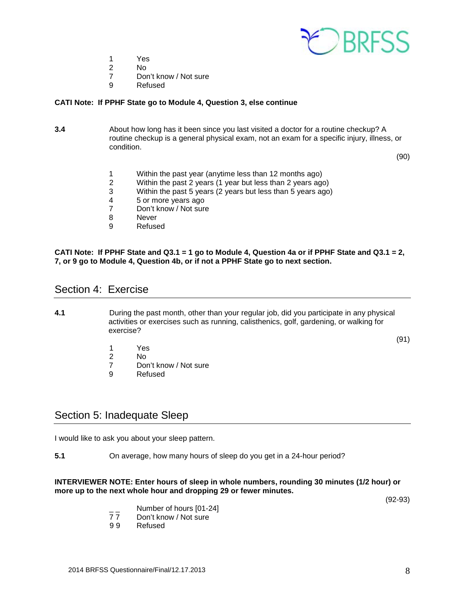

- 1 Yes<br>2 No
- 2 No
- 7 Don't know / Not sure<br>9 Refused
- **Refused**

#### **CATI Note: If PPHF State go to Module 4, Question 3, else continue**

**3.4** About how long has it been since you last visited a doctor for a routine checkup? A routine checkup is a general physical exam, not an exam for a specific injury, illness, or condition.

 $(90)$ 

- 1 Within the past year (anytime less than 12 months ago)
- 2 Within the past 2 years (1 year but less than 2 years ago)
- 3 Within the past 5 years (2 years but less than 5 years ago)
- 4 5 or more years ago<br>7 Don't know / Not sure
- 7 Don't know / Not sure<br>8 Never
- 8 Never<br>9 Refuse
- **Refused**

#### **CATI Note: If PPHF State and Q3.1 = 1 go to Module 4, Question 4a or if PPHF State and Q3.1 = 2, 7, or 9 go to Module 4, Question 4b, or if not a PPHF State go to next section.**

## <span id="page-7-0"></span>Section 4: Exercise

**4.1** During the past month, other than your regular job, did you participate in any physical activities or exercises such as running, calisthenics, golf, gardening, or walking for exercise?

(91)

- 1 Yes<br>2 No
- No.
- 7 Don't know / Not sure
- 9 Refused

## <span id="page-7-1"></span>Section 5: Inadequate Sleep

I would like to ask you about your sleep pattern.

**5.1** On average, how many hours of sleep do you get in a 24-hour period?

#### **INTERVIEWER NOTE: Enter hours of sleep in whole numbers, rounding 30 minutes (1/2 hour) or more up to the next whole hour and dropping 29 or fewer minutes.**

(92-93)

- Number of hours [01-24]<br>77 Don't know / Not sure
- 77 Don't know / Not sure<br>9.9 Refused
- **Refused**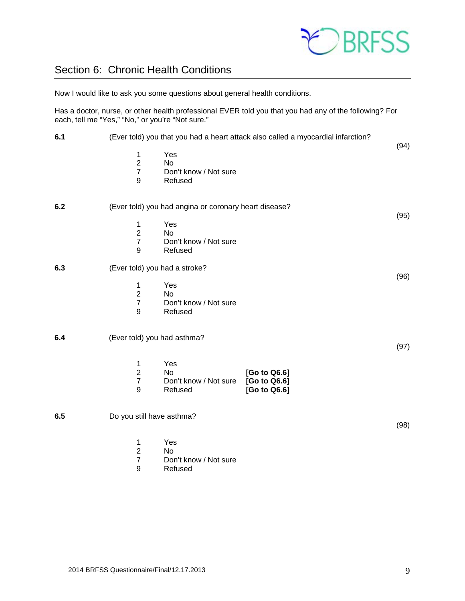

# <span id="page-8-0"></span>Section 6: Chronic Health Conditions

Now I would like to ask you some questions about general health conditions.

Has a doctor, nurse, or other health professional EVER told you that you had any of the following? For each, tell me "Yes," "No," or you're "Not sure."

| 6.1 | (Ever told) you that you had a heart attack also called a myocardial infarction?                                                                           |      |
|-----|------------------------------------------------------------------------------------------------------------------------------------------------------------|------|
|     | Yes<br>1<br>$\overline{2}$<br><b>No</b><br>$\boldsymbol{7}$<br>Don't know / Not sure<br>9<br>Refused                                                       | (94) |
| 6.2 | (Ever told) you had angina or coronary heart disease?                                                                                                      |      |
|     | Yes<br>1<br>$\overline{2}$<br>No<br>$\overline{7}$<br>Don't know / Not sure<br>9<br>Refused                                                                | (95) |
| 6.3 | (Ever told) you had a stroke?                                                                                                                              | (96) |
|     | Yes<br>1<br>$\overline{2}$<br><b>No</b><br>$\boldsymbol{7}$<br>Don't know / Not sure<br>9<br>Refused                                                       |      |
| 6.4 | (Ever told) you had asthma?                                                                                                                                | (97) |
|     | Yes<br>1<br>$\overline{2}$<br>[Go to Q6.6]<br>No<br>$\overline{7}$<br>[Go to Q6.6]<br>Don't know / Not sure<br>$\boldsymbol{9}$<br>[Go to Q6.6]<br>Refused |      |
| 6.5 | Do you still have asthma?                                                                                                                                  | (98) |
|     | Yes<br>1<br>$\overline{\mathbf{c}}$<br>No<br>$\overline{7}$<br>Don't know / Not sure<br>9<br>Refused                                                       |      |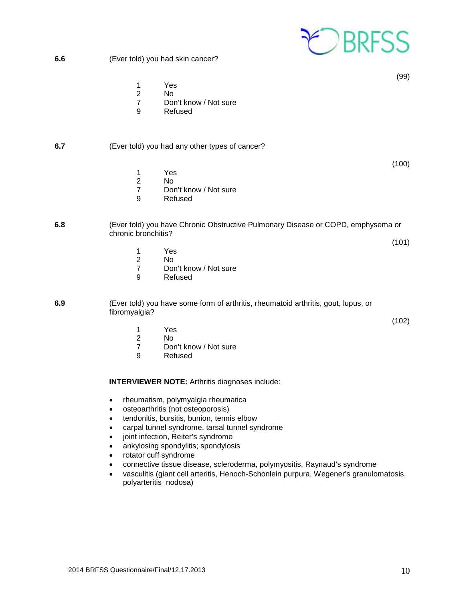

(99)

- 1 Yes
- 2 No
- 7 Don't know / Not sure<br>9 Refused
- **Refused**

## **6.7** (Ever told) you had any other types of cancer?

(100)

(102)

- 1 Yes
- 2 No<br>7 Dor
- Don't know / Not sure
- 9 Refused

#### **6.8** (Ever told) you have Chronic Obstructive Pulmonary Disease or COPD, emphysema or chronic bronchitis? (101)

- 1 Yes
- 2 No<br>7 Dor
- Don't know / Not sure
- 9 Refused

**6.9** (Ever told) you have some form of arthritis, rheumatoid arthritis, gout, lupus, or fibromyalgia?

- 1 Yes<br>2 No
- 2 No<br>7 Dor
- 7 Don't know / Not sure<br>9 Refused
- **Refused**

#### **INTERVIEWER NOTE:** Arthritis diagnoses include:

- rheumatism, polymyalgia rheumatica
- osteoarthritis (not osteoporosis)
- tendonitis, bursitis, bunion, tennis elbow
- carpal tunnel syndrome, tarsal tunnel syndrome
- joint infection, Reiter's syndrome
- ankylosing spondylitis; spondylosis
- rotator cuff syndrome
- connective tissue disease, scleroderma, polymyositis, Raynaud's syndrome
- vasculitis (giant cell arteritis, Henoch-Schonlein purpura, Wegener's granulomatosis, polyarteritis nodosa)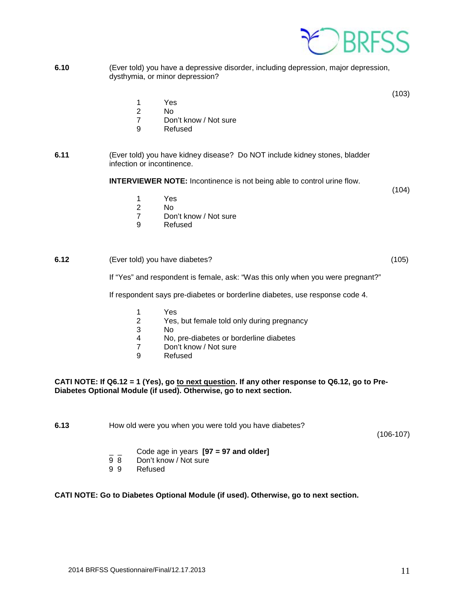

**6.10** (Ever told) you have a depressive disorder, including depression, major depression, dysthymia, or minor depression?

(103)

- 1 Yes<br>2 No
- $N<sub>0</sub>$
- 7 Don't know / Not sure
- 9 Refused
- **6.11** (Ever told) you have kidney disease? Do NOT include kidney stones, bladder infection or incontinence.

**INTERVIEWER NOTE:** Incontinence is not being able to control urine flow.

(104)

- 1 Yes
- 2 No<br>7 Dor
- 7 Don't know / Not sure<br>9 Refused
- **Refused**

#### **6.12** (Ever told) you have diabetes? (105)

If "Yes" and respondent is female, ask: "Was this only when you were pregnant?"

If respondent says pre-diabetes or borderline diabetes, use response code 4.

- 1 Yes<br>2 Yes.
- 2 Yes, but female told only during pregnancy
- 3 No
- 4 No, pre-diabetes or borderline diabetes<br>7 Don't know / Not sure
- Don't know / Not sure
- 9 Refused

#### **CATI NOTE: If Q6.12 = 1 (Yes), go to next question. If any other response to Q6.12, go to Pre-Diabetes Optional Module (if used). Otherwise, go to next section.**

**6.13** How old were you when you were told you have diabetes?

(106-107)

- \_ \_ Code age in years **[97 = 97 and older]**
- Don't know / Not sure
- 9 9 Refused

#### **CATI NOTE: Go to Diabetes Optional Module (if used). Otherwise, go to next section.**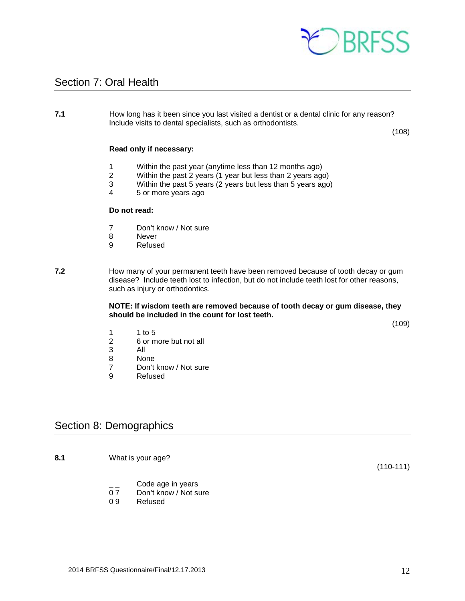

## <span id="page-11-0"></span>Section 7: Oral Health

#### **7.1** How long has it been since you last visited a dentist or a dental clinic for any reason? Include visits to dental specialists, such as orthodontists.

(108)

#### **Read only if necessary:**

- 1 Within the past year (anytime less than 12 months ago)<br>2 Within the past 2 years (1 year but less than 2 years ago
- 2 Within the past 2 years (1 year but less than 2 years ago)
- 3 Within the past 5 years (2 years but less than 5 years ago)
- 4 5 or more years ago

#### **Do not read:**

- 7 Don't know / Not sure
- 8 Never<br>9 Refuse
	- **Refused**
- **7.2** How many of your permanent teeth have been removed because of tooth decay or gum disease? Include teeth lost to infection, but do not include teeth lost for other reasons, such as injury or orthodontics.

#### **NOTE: If wisdom teeth are removed because of tooth decay or gum disease, they should be included in the count for lost teeth.**

(109)

- 1 1 to 5<br>2 6 or m
- 2 6 or more but not all
- 3 All
- 8 None<br>7 Don't
- 7 Don't know / Not sure<br>9 Refused
- **Refused**

## <span id="page-11-1"></span>Section 8: Demographics

**8.1** What is your age?

(110-111)

- $\frac{1}{2}$  Code age in years<br>0 7 Don't know / Not su
- 0 7 Don't know / Not sure<br>0 9 Refused
- **Refused**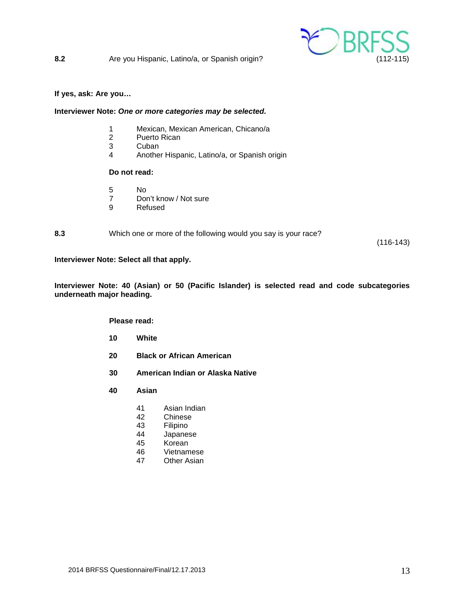

#### **If yes, ask: Are you…**

#### **Interviewer Note:** *One or more categories may be selected.*

- 1 Mexican, Mexican American, Chicano/a
- Puerto Rican
- 3 Cuban<br>4 Anothe
- 4 Another Hispanic, Latino/a, or Spanish origin

#### **Do not read:**

- 5 No
- 7 Don't know / Not sure
- 9 Refused

**8.3** Which one or more of the following would you say is your race?

(116-143)

#### **Interviewer Note: Select all that apply.**

**Interviewer Note: 40 (Asian) or 50 (Pacific Islander) is selected read and code subcategories underneath major heading.**

#### **Please read:**

- **10 White**
- **20 Black or African American**
- **30 American Indian or Alaska Native**
- **40 Asian**
	- 41 Asian Indian
	- 42 Chinese<br>43 Filipino
	- Filipino
	- 44 Japanese
	- 45 Korean<br>46 Vietnam
	- **Vietnamese**
	- 47 Other Asian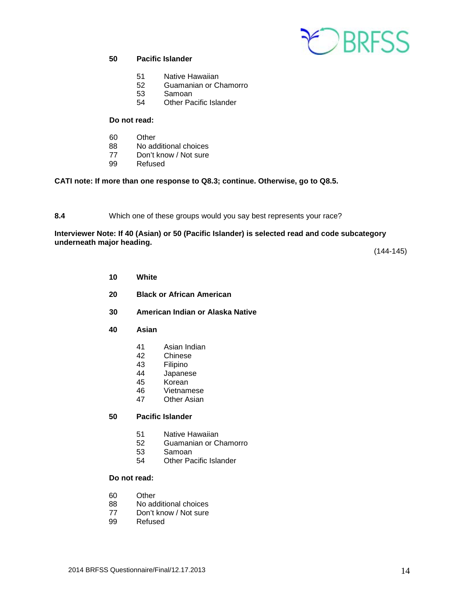

### **50 Pacific Islander**

- 51 Native Hawaiian<br>52 Guamanian or C
- 52 Guamanian or Chamorro
- 53 Samoan
- 54 Other Pacific Islander

#### **Do not read:**

- 60 Other
- 88 No additional choices
- 77 Don't know / Not sure<br>99 Refused
- Refused

## **CATI note: If more than one response to Q8.3; continue. Otherwise, go to Q8.5.**

**8.4** Which one of these groups would you say best represents your race?

#### **Interviewer Note: If 40 (Asian) or 50 (Pacific Islander) is selected read and code subcategory underneath major heading.**

(144-145)

- **10 White**
- **20 Black or African American**
- **30 American Indian or Alaska Native**
- **40 Asian**
	- 41 Asian Indian<br>42 Chinese
	- 42 Chinese<br>43 Filipino
	- 43 Filipino<br>44 Japanes
	- **Japanese**
	- 45 Korean
	- 46 Vietnamese<br>47 Other Asian
	- Other Asian

#### **50 Pacific Islander**

- 51 Native Hawaiian
- 52 Guamanian or Chamorro<br>53 Samoan
- 53 Samoan
- 54 Other Pacific Islander

#### **Do not read:**

- 60 Other<br>88 No ad
- No additional choices
- 77 Don't know / Not sure<br>99 Refused
- **Refused**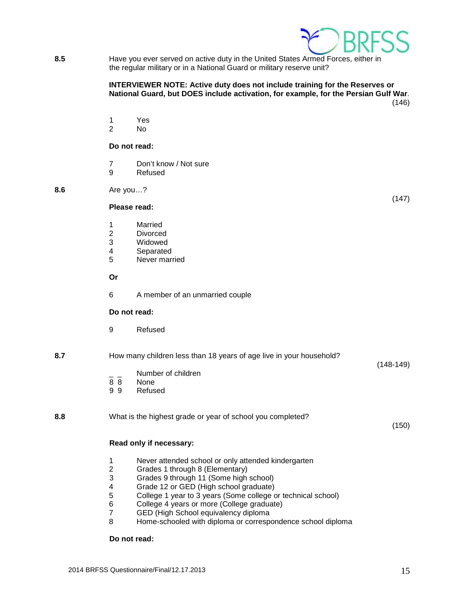

**8.5** Have you ever served on active duty in the United States Armed Forces, either in the regular military or in a National Guard or military reserve unit?

#### **INTERVIEWER NOTE: Active duty does not include training for the Reserves or National Guard, but DOES include activation, for example, for the Persian Gulf War**. (146)

1 Yes

2 No

#### **Do not read:**

- 7 Don't know / Not sure
- 9 Refused

**8.6** Are you…?

**Please read:**

- 
- 1 Married<br>2 Divorce
- 2 Divorced<br>3 Widowed Widowed
- 
- 4 Separated<br>5 Never mari Never married

**Or**

6 A member of an unmarried couple

#### **Do not read:**

9 Refused

#### **8.7** How many children less than 18 years of age live in your household? (148-149)

- $\frac{1}{2}$  Number of children<br>8 8 None
- 8 8 None<br>9 9 Refus
- **Refused**

#### **8.8** What is the highest grade or year of school you completed?

(150)

(147)

#### **Read only if necessary:**

- 1 Never attended school or only attended kindergarten<br>2 Grades 1 through 8 (Elementary)
- 2 Grades 1 through 8 (Elementary)
- 3 Grades 9 through 11 (Some high school)
- 4 Grade 12 or GED (High school graduate)<br>5 College 1 year to 3 years (Some college of
- 5 College 1 year to 3 years (Some college or technical school)<br>6 College 4 years or more (College graduate)
- 6 College 4 years or more (College graduate)
- 7 GED (High School equivalency diploma<br>8 Home-schooled with diploma or correspo
- Home-schooled with diploma or correspondence school diploma

#### **Do not read:**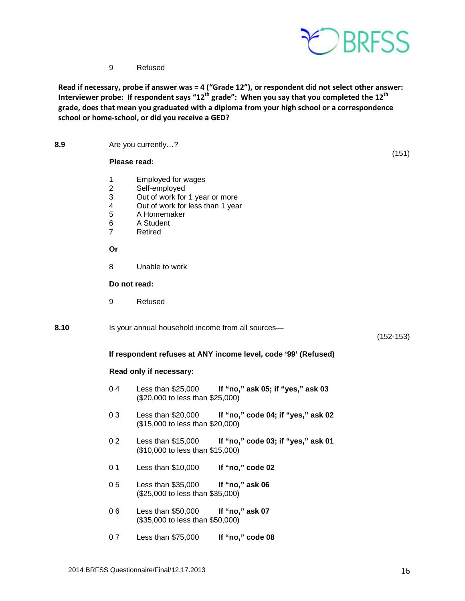

9 Refused

**Read if necessary, probe if answer was = 4 ("Grade 12"), or respondent did not select other answer: Interviewer probe: If respondent says "12th grade": When you say that you completed the 12th grade, does that mean you graduated with a diploma from your high school or a correspondence school or home-school, or did you receive a GED?**

**8.9** Are you currently…? (151) **Please read:** 1 Employed for wages<br>2 Self-employed Self-employed 3 Out of work for 1 year or more<br>4 Out of work for less than 1 year 4 Out of work for less than 1 year<br>5 A Homemaker 5 A Homemaker 6 A Student 7 Retired **Or** 8 Unable to work **Do not read:** 9 Refused **8.10** Is your annual household income from all sources— (152-153) **If respondent refuses at ANY income level, code '99' (Refused) Read only if necessary:** 0 4 Less than \$25,000 **If "no," ask 05; if "yes," ask 03** (\$20,000 to less than \$25,000) 0 3 Less than \$20,000 **If "no," code 04; if "yes," ask 02** (\$15,000 to less than \$20,000) 0 2 Less than \$15,000 **If "no," code 03; if "yes," ask 01** (\$10,000 to less than \$15,000) 0 1 Less than \$10,000 **If "no," code 02** 0 5 Less than \$35,000 **If "no," ask 06** (\$25,000 to less than \$35,000) 0 6 Less than \$50,000 **If "no," ask 07** (\$35,000 to less than \$50,000) 0 7 Less than \$75,000 **If "no," code 08**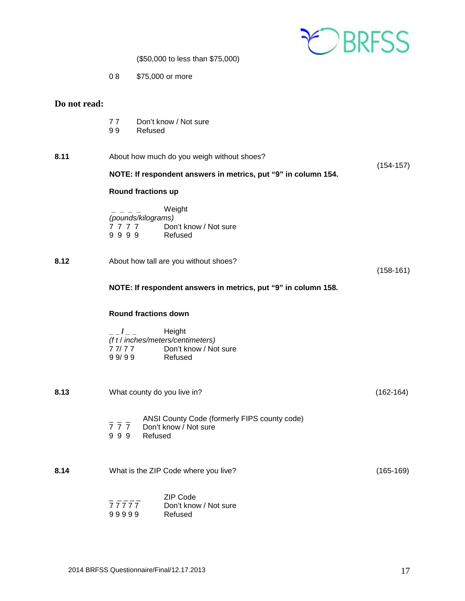

(\$50,000 to less than \$75,000)

0 8 \$75,000 or more

## **Do not read:**

- 77 Don't know / Not sure<br>99 Refused
- **Refused**

| 8.11 | About how much do you weigh without shoes?                                                     | $(154-157)$ |  |  |
|------|------------------------------------------------------------------------------------------------|-------------|--|--|
|      | NOTE: If respondent answers in metrics, put "9" in column 154.                                 |             |  |  |
|      | <b>Round fractions up</b>                                                                      |             |  |  |
|      | Weight<br>(pounds/kilograms)<br>7 7 7 7 Don't know / Not sure<br>9999 Refused                  |             |  |  |
| 8.12 | About how tall are you without shoes?                                                          | $(158-161)$ |  |  |
|      | NOTE: If respondent answers in metrics, put "9" in column 158.                                 |             |  |  |
|      | <b>Round fractions down</b>                                                                    |             |  |  |
|      | (f t / inches/meters/centimeters)<br>77/77 Don't know / Not sure<br>99/99<br>Refused           |             |  |  |
| 8.13 | What county do you live in?                                                                    | $(162-164)$ |  |  |
|      | - - ANSI County Code (formerly FIPS county code)<br>7 7 7 Don't know / Not sure<br>999 Refused |             |  |  |
| 8.14 | What is the ZIP Code where you live?                                                           | $(165-169)$ |  |  |
|      | ZIP Code<br>77777<br>Don't know / Not sure<br>99999<br>Refused                                 |             |  |  |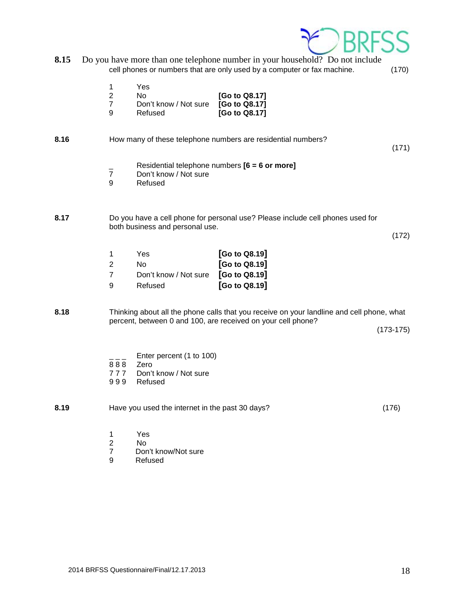

| 8.15 | Do you have more than one telephone number in your household? Do not include |       |
|------|------------------------------------------------------------------------------|-------|
|      | cell phones or numbers that are only used by a computer or fax machine.      | (170) |

| 1 | Yes |
|---|-----|
| 2 | No  |

| 2 | No.                   | [Go to Q8.17] |
|---|-----------------------|---------------|
| 7 | Don't know / Not sure | [Go to Q8.17] |
| 9 | Refused               | [Go to Q8.17] |

8.16 How many of these telephone numbers are residential numbers?

(171)

- \_ Residential telephone numbers **[6 = 6 or more]**
- 7 Don't know / Not sure<br>9 Refused
- **Refused**

### **8.17** Do you have a cell phone for personal use? Please include cell phones used for both business and personal use.

(172)

| -1            | Yes                   | [Go to Q8.19]  |
|---------------|-----------------------|----------------|
| $\mathcal{P}$ | No.                   | [Go to Q8.19]  |
| -7            | Don't know / Not sure | $[Go$ to Q8.19 |
| 9             | Refused               | [Go to Q8.19]  |

**8.18** Thinking about all the phone calls that you receive on your landline and cell phone, what percent, between 0 and 100, are received on your cell phone?

(173-175)

- Enter percent (1 to 100)
- 8 8 8 Zero<br>7 7 7 Don't
- 777 Don't know / Not sure<br>999 Refused
- **Refused**

**8.19** Have you used the internet in the past 30 days? (176)

- 1 Yes<br>2 No
- 2 No<br>7 Dor
- 7 Don't know/Not sure<br>9 Refused
- **Refused**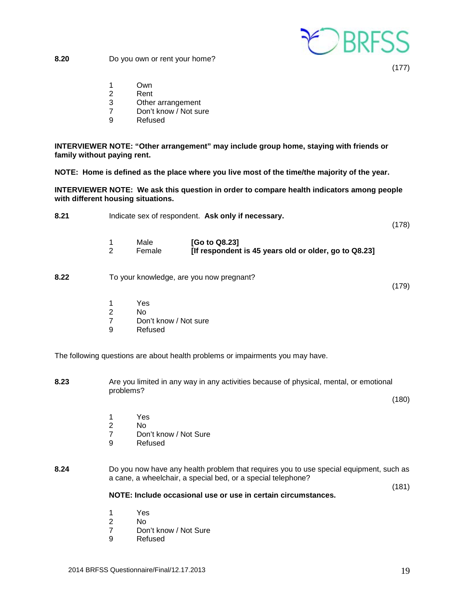

**8.20** Do you own or rent your home?

(177)

- 1 Own
- 2 Rent
- 3 Other arrangement<br>7 Don't know / Not sui
- Don't know / Not sure
- 9 Refused

**INTERVIEWER NOTE: "Other arrangement" may include group home, staying with friends or family without paying rent.**

**NOTE: Home is defined as the place where you live most of the time/the majority of the year.** 

**INTERVIEWER NOTE: We ask this question in order to compare health indicators among people with different housing situations.**

- **8.21** Indicate sex of respondent. **Ask only if necessary.** (178)
	- 1 Male **[Go to Q8.23]**<br>2 Female **IIf respondent** 2 Female **[If respondent is 45 years old or older, go to Q8.23]**
- **8.22** To your knowledge, are you now pregnant?

(179)

- 1 Yes
- 2 No
- 7 Don't know / Not sure<br>9 Refused
- **Refused**

The following questions are about health problems or impairments you may have.

- **8.23** Are you limited in any way in any activities because of physical, mental, or emotional problems? (180)
	-
	- 1 Yes<br>2 No N<sub>o</sub>
	- 7 Don't know / Not Sure
	- 9 Refused

## **8.24** Do you now have any health problem that requires you to use special equipment, such as a cane, a wheelchair, a special bed, or a special telephone?

#### **NOTE: Include occasional use or use in certain circumstances.**

- 1 Yes
- N<sub>o</sub>
- 7 Don't know / Not Sure
- 9 Refused

(181)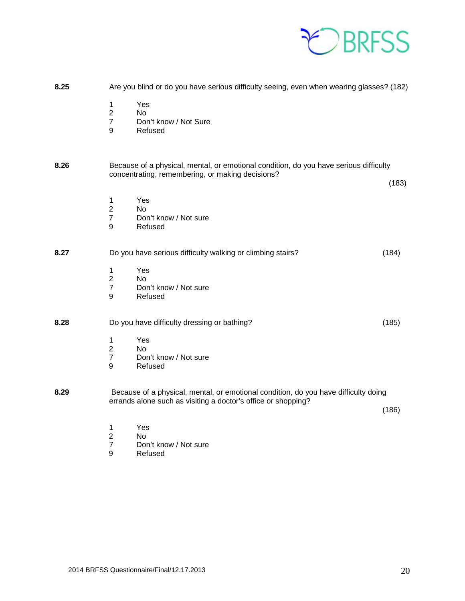

| 8.25 |                                              | Are you blind or do you have serious difficulty seeing, even when wearing glasses? (182)                                                             |       |
|------|----------------------------------------------|------------------------------------------------------------------------------------------------------------------------------------------------------|-------|
|      | 1<br>$\boldsymbol{2}$<br>$\overline{7}$<br>9 | Yes<br><b>No</b><br>Don't know / Not Sure<br>Refused                                                                                                 |       |
| 8.26 |                                              | Because of a physical, mental, or emotional condition, do you have serious difficulty<br>concentrating, remembering, or making decisions?            | (183) |
|      | 1<br>$\overline{2}$<br>$\overline{7}$<br>9   | Yes<br><b>No</b><br>Don't know / Not sure<br>Refused                                                                                                 |       |
| 8.27 | 1<br>$\overline{2}$                          | Do you have serious difficulty walking or climbing stairs?<br>Yes<br><b>No</b>                                                                       | (184) |
|      | $\boldsymbol{7}$<br>9                        | Don't know / Not sure<br>Refused                                                                                                                     |       |
| 8.28 |                                              | Do you have difficulty dressing or bathing?                                                                                                          | (185) |
|      | 1<br>$\mathbf 2$<br>$\overline{7}$<br>9      | Yes<br><b>No</b><br>Don't know / Not sure<br>Refused                                                                                                 |       |
| 8.29 |                                              | Because of a physical, mental, or emotional condition, do you have difficulty doing<br>errands alone such as visiting a doctor's office or shopping? | (186) |
|      | 1                                            | Yes                                                                                                                                                  |       |

- 
- 2 No<br>7 Dor<br>9 Ref Don't know / Not sure
- **Refused**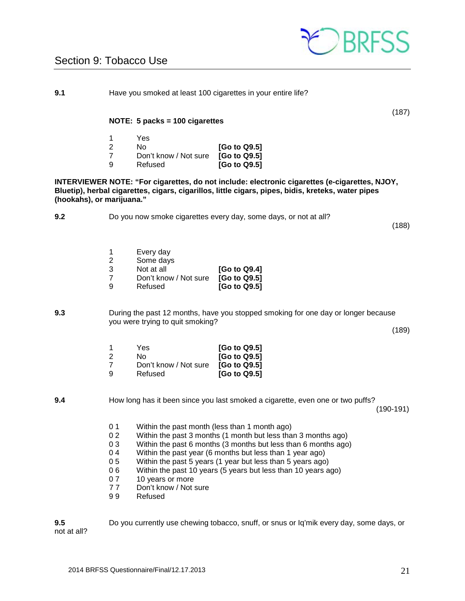

# <span id="page-20-0"></span>Section 9: Tobacco Use

**9.1** Have you smoked at least 100 cigarettes in your entire life?

#### **NOTE: 5 packs = 100 cigarettes**

|    | Yes.                  |              |
|----|-----------------------|--------------|
| -2 | No.                   | [Go to Q9.5] |
|    | Don't know / Not sure | [Go to Q9.5] |
| -9 | Refused               | [Go to Q9.5] |

**INTERVIEWER NOTE: "For cigarettes, do not include: electronic cigarettes (e-cigarettes, NJOY, Bluetip), herbal cigarettes, cigars, cigarillos, little cigars, pipes, bidis, kreteks, water pipes (hookahs), or marijuana."**

**9.2** Do you now smoke cigarettes every day, some days, or not at all?

(188)

(187)

| 1 | Every day             |              |
|---|-----------------------|--------------|
| 2 | Some days             |              |
| 3 | Not at all            | [Go to Q9.4] |
| 7 | Don't know / Not sure | [Go to Q9.5] |
| 9 | Refused               | [Go to Q9.5] |
|   |                       |              |

**9.3** During the past 12 months, have you stopped smoking for one day or longer because you were trying to quit smoking?

 $(189)$ 

|    | Yes                   | [Go to Q9.5] |
|----|-----------------------|--------------|
| 2  | N٥                    | [Go to Q9.5] |
|    | Don't know / Not sure | [Go to Q9.5] |
| ്യ | Refused               | [Go to Q9.5] |

**9.4** How long has it been since you last smoked a cigarette, even one or two puffs? (190-191)

- 0 1 Within the past month (less than 1 month ago)<br>0 2 Within the past 3 months (1 month but less tha
- 0 2 Within the past 3 months (1 month but less than 3 months ago)<br>0 3 Within the past 6 months (3 months but less than 6 months ago
- 0 3 Within the past 6 months (3 months but less than 6 months ago)  $0.4$  Within the past year (6 months but less than 1 year ago)
- Within the past year (6 months but less than 1 year ago)
- 0 5 Within the past 5 years (1 year but less than 5 years ago)
- 0 6 Within the past 10 years (5 years but less than 10 years ago)
- 0 7 10 years or more<br>7 7 Don't know / Not
- 77 Don't know / Not sure<br>99 Refused
- **Refused**

**9.5** Do you currently use chewing tobacco, snuff, or snus or Iq'mik every day, some days, or not at all?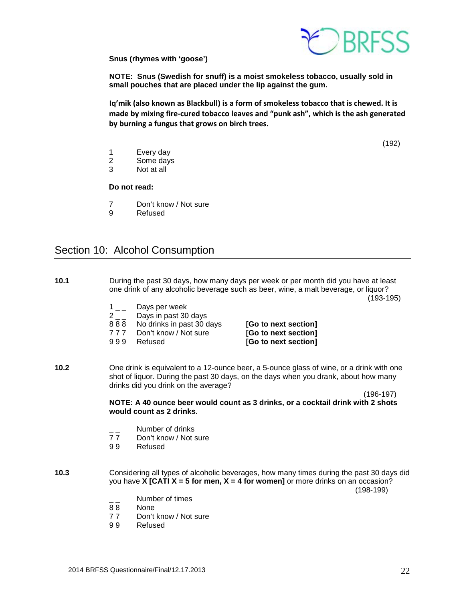

**Snus (rhymes with 'goose')**

**NOTE: Snus (Swedish for snuff) is a moist smokeless tobacco, usually sold in small pouches that are placed under the lip against the gum.** 

**Iq'mik (also known as Blackbull) is a form of smokeless tobacco that is chewed. It is made by mixing fire-cured tobacco leaves and "punk ash", which is the ash generated by burning a fungus that grows on birch trees.**

(192)

- 1 Every day<br>2 Some days
- Some days
- 3 Not at all

**Do not read:**

- 7 Don't know / Not sure<br>9 Refused
- **Refused**

# <span id="page-21-0"></span>Section 10: Alcohol Consumption

- **10.1** During the past 30 days, how many days per week or per month did you have at least one drink of any alcoholic beverage such as beer, wine, a malt beverage, or liquor? (193-195)  $1\_\_$  Days per week  $2<sub>-</sub>$  Days in past 30 days<br>888 No drinks in past 30 d 8 8 8 No drinks in past 30 days **[Go to next section]**<br>17 7 Don't know / Not sure **[Go to next section]** 7 7 7 Don't know / Not sure **[Go to next section]** [Go to next section] **10.2** One drink is equivalent to a 12-ounce beer, a 5-ounce glass of wine, or a drink with one shot of liquor. During the past 30 days, on the days when you drank, about how many drinks did you drink on the average? (196-197) **NOTE: A 40 ounce beer would count as 3 drinks, or a cocktail drink with 2 shots would count as 2 drinks.**  $\frac{1}{7}$  Number of drinks<br>77 Don't know / Not s 77 Don't know / Not sure<br>99 Refused **Refused 10.3** Considering all types of alcoholic beverages, how many times during the past 30 days did you have **X [CATI X = 5 for men, X = 4 for women]** or more drinks on an occasion? (198-199) Number of times 88 None 77 Don't know / Not sure<br>99 Refused
	- **Refused**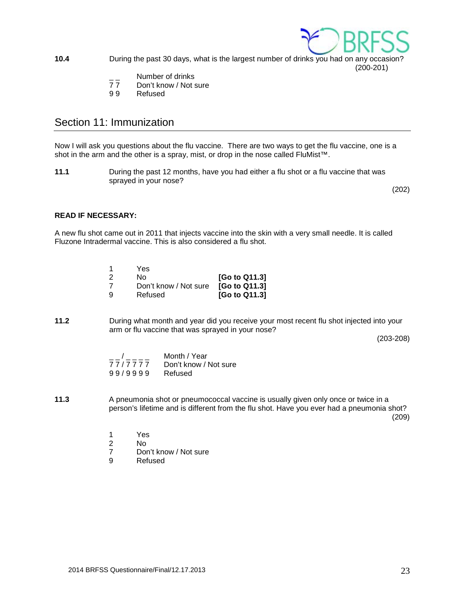

**10.4** During the past 30 days, what is the largest number of drinks you had on any occasion?

(200-201)

- $\frac{1}{7}$  Number of drinks<br>77 Don't know / Not s
- Don't know / Not sure
- 9 9 Refused

# <span id="page-22-0"></span>Section 11: Immunization

Now I will ask you questions about the flu vaccine. There are two ways to get the flu vaccine, one is a shot in the arm and the other is a spray, mist, or drop in the nose called FluMist™.

**11.1** During the past 12 months, have you had either a flu shot or a flu vaccine that was sprayed in your nose?

(202)

## **READ IF NECESSARY:**

A new flu shot came out in 2011 that injects vaccine into the skin with a very small needle. It is called Fluzone Intradermal vaccine. This is also considered a flu shot.

|    | Yes                   |               |
|----|-----------------------|---------------|
| -2 | N٥                    | [Go to Q11.3] |
|    | Don't know / Not sure | [Go to Q11.3] |
| -9 | Refused               | [Go to Q11.3] |

**11.2** During what month and year did you receive your most recent flu shot injected into your arm or flu vaccine that was sprayed in your nose?

(203-208)

| $\overline{1}$ | Month / Year          |
|----------------|-----------------------|
| 77/7777        | Don't know / Not sure |
| 99/9999        | Refused               |

**11.3** A pneumonia shot or pneumococcal vaccine is usually given only once or twice in a person's lifetime and is different from the flu shot. Have you ever had a pneumonia shot?  $(209)$ 

- 1 Yes<br>2 No
- 
- 2 No 7 Don't know / Not sure<br>9 Refused
- **Refused**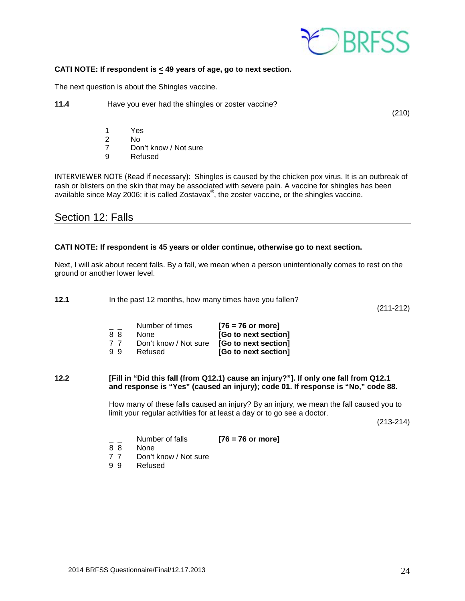

#### **CATI NOTE: If respondent is < 49 years of age, go to next section.**

The next question is about the Shingles vaccine.

**11.4** Have you ever had the shingles or zoster vaccine?

(210)

- 1 Yes<br>2 No
- 2 No
	- 7 Don't know / Not sure
	- 9 Refused

INTERVIEWER NOTE (Read if necessary): Shingles is caused by the chicken pox virus. It is an outbreak of rash or blisters on the skin that may be associated with severe pain. A vaccine for shingles has been available since May 2006; it is called Zostavax $^{\circledast}$ , the zoster vaccine, or the shingles vaccine.

## Section 12: Falls

### **CATI NOTE: If respondent is 45 years or older continue, otherwise go to next section.**

Next, I will ask about recent falls. By a fall, we mean when a person unintentionally comes to rest on the ground or another lower level.

**12.1** In the past 12 months, how many times have you fallen?

(211-212)

|    | Number of times       | $[76 = 76$ or more]  |
|----|-----------------------|----------------------|
| 88 | None                  | [Go to next section] |
| 77 | Don't know / Not sure | [Go to next section] |
| 99 | Refused               | [Go to next section] |

#### **12.2 [Fill in "Did this fall (from Q12.1) cause an injury?"]. If only one fall from Q12.1 and response is "Yes" (caused an injury); code 01. If response is "No," code 88.**

How many of these falls caused an injury? By an injury, we mean the fall caused you to limit your regular activities for at least a day or to go see a doctor.

(213-214)

|    | Number of falls | $[76 = 76$ or more] |
|----|-----------------|---------------------|
| 88 | None            |                     |

- 
- 7 7 Don't know / Not sure<br>9 9 Refused
- **Refused**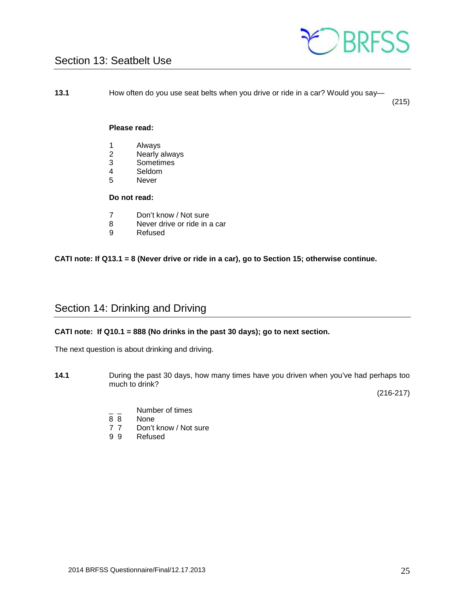

# <span id="page-24-0"></span>Section 13: Seatbelt Use

**13.1** How often do you use seat belts when you drive or ride in a car? Would you say—

(215)

#### **Please read:**

- 1 Always<br>2 Nearly a
- 2 Nearly always<br>3 Sometimes
- 3 Sometimes
- 4 Seldom<br>5 Never
- **Never**

## **Do not read:**

- 7 Don't know / Not sure
- 8 Never drive or ride in a car<br>9 Refused
- **Refused**

### **CATI note: If Q13.1 = 8 (Never drive or ride in a car), go to Section 15; otherwise continue.**

# <span id="page-24-1"></span>Section 14: Drinking and Driving

#### **CATI note: If Q10.1 = 888 (No drinks in the past 30 days); go to next section.**

The next question is about drinking and driving.

**14.1** During the past 30 days, how many times have you driven when you've had perhaps too much to drink?

(216-217)

- $\frac{1}{8}$   $\frac{1}{8}$  Number of times
- 8 8 None<br>7 7 Don't
- Don't know / Not sure
- 9 9 Refused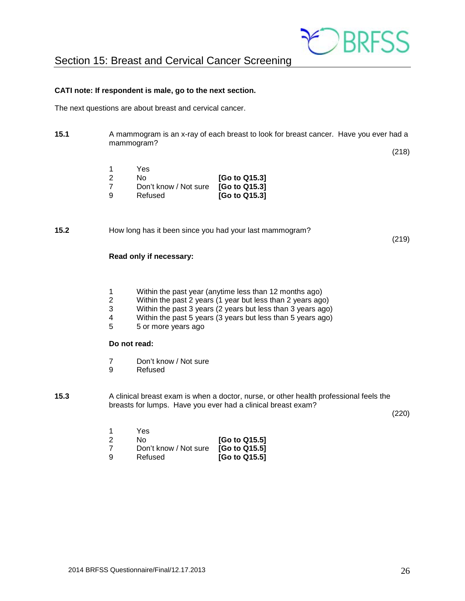

<span id="page-25-0"></span>Section 15: Breast and Cervical Cancer Screening

#### **CATI note: If respondent is male, go to the next section.**

The next questions are about breast and cervical cancer.

**15.1** A mammogram is an x-ray of each breast to look for breast cancer. Have you ever had a mammogram?

(218)

|    | Yes.                  |               |
|----|-----------------------|---------------|
| -2 | N٥                    | [Go to Q15.3] |
|    | Don't know / Not sure | [Go to Q15.3] |
| ്യ | Refused               | [Go to Q15.3] |

**15.2** How long has it been since you had your last mammogram?

(219)

#### **Read only if necessary:**

- 1 Within the past year (anytime less than 12 months ago)
- 2 Within the past 2 years (1 year but less than 2 years ago)<br>3 Within the past 3 years (2 years but less than 3 years ago
- 3 Within the past 3 years (2 years but less than 3 years ago)<br>4 Within the past 5 years (3 years but less than 5 years ago)
- 4 Within the past 5 years (3 years but less than 5 years ago)<br>5 5 or more vears ago
- 5 5 or more years ago

## **Do not read:**

- 7 Don't know / Not sure
- 9 Refused
- **15.3** A clinical breast exam is when a doctor, nurse, or other health professional feels the breasts for lumps. Have you ever had a clinical breast exam?

(220)

|    | Yes                   |               |
|----|-----------------------|---------------|
| -2 | Nο                    | [Go to Q15.5] |
|    | Don't know / Not sure | [Go to Q15.5] |
| -9 | Refused               | [Go to Q15.5] |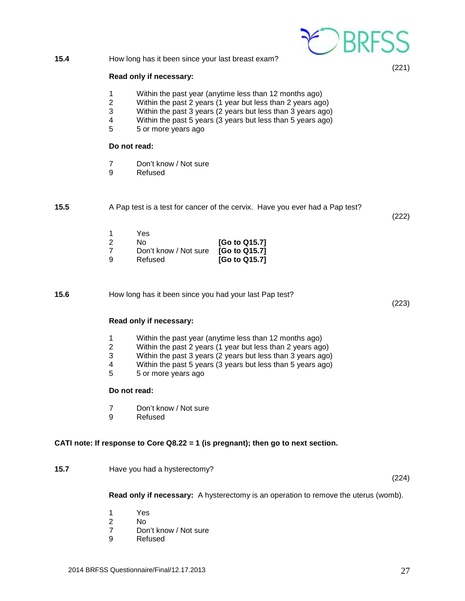

- 7 Don't know / Not sure
- 9 Refused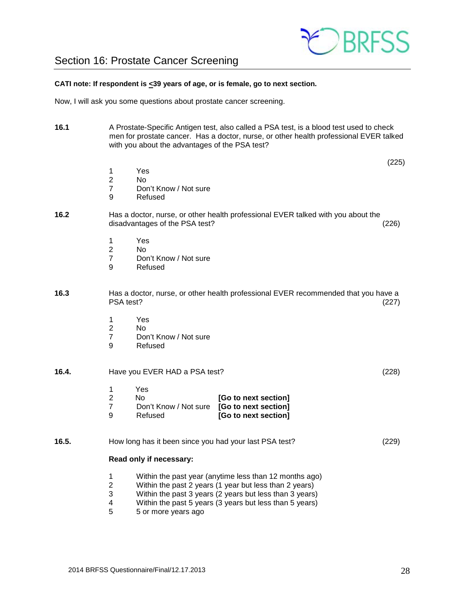

# <span id="page-27-0"></span>Section 16: Prostate Cancer Screening

#### **CATI note: If respondent is <39 years of age, or is female, go to next section.**

Now, I will ask you some questions about prostate cancer screening.

- **16.1** A Prostate-Specific Antigen test, also called a PSA test, is a blood test used to check men for prostate cancer. Has a doctor, nurse, or other health professional EVER talked with you about the advantages of the PSA test?
- $(225)$ 1 Yes<br>2 No 2 No 7 Don't Know / Not sure<br>9 Refused **Refused 16.2** Has a doctor, nurse, or other health professional EVER talked with you about the disadvantages of the PSA test? (226) 1 Yes<br>2 No  $N<sub>0</sub>$ 7 Don't Know / Not sure 9 Refused **16.3** Has a doctor, nurse, or other health professional EVER recommended that you have a PSA test? (227) 1 Yes<br>2 No  $N<sub>0</sub>$ 7 Don't Know / Not sure 9 Refused **16.4.** Have you EVER HAD a PSA test? (228) 1 Yes 2 No **[Go to next section]** 7 Don't Know / Not sure **[Go to next section]** 9 Refused **[Go to next section] 16.5.** How long has it been since you had your last PSA test? (229) **Read only if necessary:** 1 Within the past year (anytime less than 12 months ago)<br>2 Within the past 2 years (1 year but less than 2 years) 2 Within the past 2 years (1 year but less than 2 years)<br>3 Within the past 3 years (2 years but less than 3 years) Within the past 3 years (2 years but less than 3 years) 4 Within the past 5 years (3 years but less than 5 years)<br>5  $\overline{5}$  5 or more years ago 5 5 or more years ago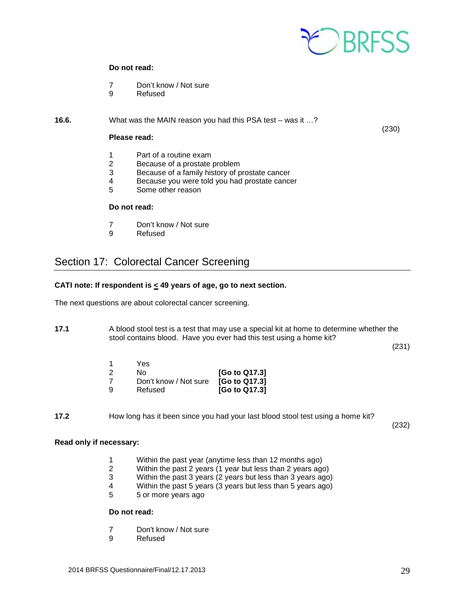

#### **Do not read:**

- 7 Don't know / Not sure
- 9 Refused
- **16.6.** What was the MAIN reason you had this PSA test was it ...?

#### $(230)$ **Please read:**

- 1 Part of a routine exam<br>2 Because of a prostate
- Because of a prostate problem
- 3 Because of a family history of prostate cancer
- 4 Because you were told you had prostate cancer<br>5 Some other reason
- 5 Some other reason

#### **Do not read:**

- 7 Don't know / Not sure<br>9 Refused
- **Refused**

# <span id="page-28-0"></span>Section 17: Colorectal Cancer Screening

#### **CATI note: If respondent is < 49 years of age, go to next section.**

The next questions are about colorectal cancer screening.

**17.1** A blood stool test is a test that may use a special kit at home to determine whether the stool contains blood. Have you ever had this test using a home kit?

(231)

| 1  | Yes.                  |               |
|----|-----------------------|---------------|
| -2 | N٥                    | [Go to Q17.3] |
| -7 | Don't know / Not sure | [Go to Q17.3] |
| 9  | Refused               | [Go to Q17.3] |

**17.2** How long has it been since you had your last blood stool test using a home kit?

(232)

#### **Read only if necessary:**

- 1 Within the past year (anytime less than 12 months ago)
- 2 Within the past 2 years (1 year but less than 2 years ago)
- 3 Within the past 3 years (2 years but less than 3 years ago)
- 4 Within the past 5 years (3 years but less than 5 years ago)
- 5 5 or more years ago

#### **Do not read:**

- 7 Don't know / Not sure<br>9 Refused
- **Refused**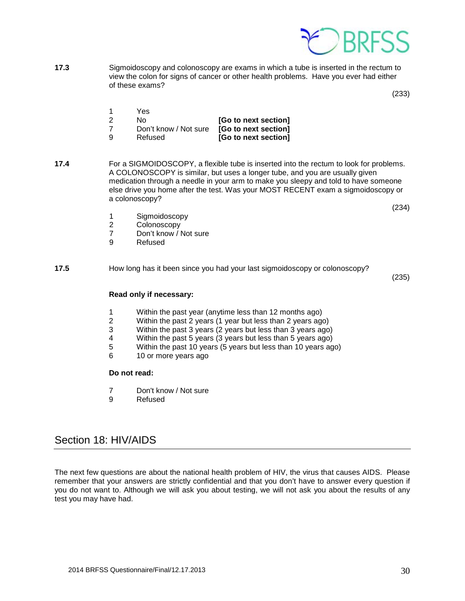

**17.3** Sigmoidoscopy and colonoscopy are exams in which a tube is inserted in the rectum to view the colon for signs of cancer or other health problems. Have you ever had either of these exams?

(233)

|     | Yes.                  |                      |
|-----|-----------------------|----------------------|
| - 2 | No.                   | [Go to next section] |
|     | Don't know / Not sure | [Go to next section] |
| -9  | Refused               | [Go to next section] |

**17.4** For a SIGMOIDOSCOPY, a flexible tube is inserted into the rectum to look for problems. A COLONOSCOPY is similar, but uses a longer tube, and you are usually given medication through a needle in your arm to make you sleepy and told to have someone else drive you home after the test. Was your MOST RECENT exam a sigmoidoscopy or a colonoscopy?

(234)

- 1 Sigmoidoscopy<br>2 Colonoscopy
- 2 Colonoscopy<br>7 Don't know / I
- 7 Don't know / Not sure<br>9 Refused
- **Refused**
- **17.5** How long has it been since you had your last sigmoidoscopy or colonoscopy?

(235)

#### **Read only if necessary:**

- 
- 1 Within the past year (anytime less than 12 months ago)<br>2 Within the past 2 years (1 year but less than 2 years ago 2 Within the past 2 years (1 year but less than 2 years ago)
- 3 Within the past 3 years (2 years but less than 3 years ago)
- 4 Within the past 5 years (3 years but less than 5 years ago)<br>5 Within the past 10 years (5 years but less than 10 years ago
- 5 Within the past 10 years (5 years but less than 10 years ago)<br>6 10 or more years ago
- 10 or more years ago

#### **Do not read:**

- 7 Don't know / Not sure<br>9 Refused
- **Refused**

## <span id="page-29-0"></span>Section 18: HIV/AIDS

The next few questions are about the national health problem of HIV, the virus that causes AIDS. Please remember that your answers are strictly confidential and that you don't have to answer every question if you do not want to. Although we will ask you about testing, we will not ask you about the results of any test you may have had.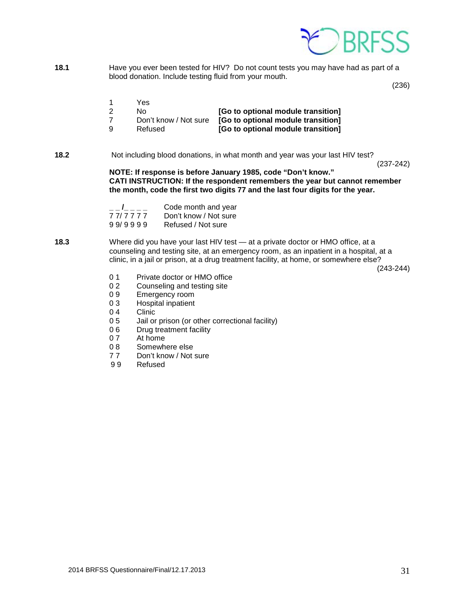

**18.1** Have you ever been tested for HIV? Do not count tests you may have had as part of a blood donation. Include testing fluid from your mouth.

(236)

- 1 Yes<br>2 No
- 2 No **[Go to optional module transition]**
- 7 Don't know / Not sure **[Go to optional module transition]**
- [Go to optional module transition]
- **18.2** Not including blood donations, in what month and year was your last HIV test?

(237-242)

**NOTE: If response is before January 1985, code "Don't know." CATI INSTRUCTION: If the respondent remembers the year but cannot remember the month, code the first two digits 77 and the last four digits for the year.** 

|         | Code month and year   |
|---------|-----------------------|
| 77/7777 | Don't know / Not sure |
| 99/9999 | Refused / Not sure    |

**18.3** Where did you have your last HIV test — at a private doctor or HMO office, at a counseling and testing site, at an emergency room, as an inpatient in a hospital, at a clinic, in a jail or prison, at a drug treatment facility, at home, or somewhere else?

(243-244)

- 0 1 Private doctor or HMO office<br>0 2 Counseling and testing site
- Counseling and testing site
- 0 9 Emergency room
- 0 3 Hospital inpatient
- 0 4 Clinic<br>0 5 Jail or
- 0 5 Jail or prison (or other correctional facility)<br>0 6 Drug treatment facility
- 0 6 Drug treatment facility<br>0 7 At home
- 0 7 At home<br>0 8 Somewh
- 0 8 Somewhere else<br>7 7 Don't know / Not
- Don't know / Not sure
- 9 9 Refused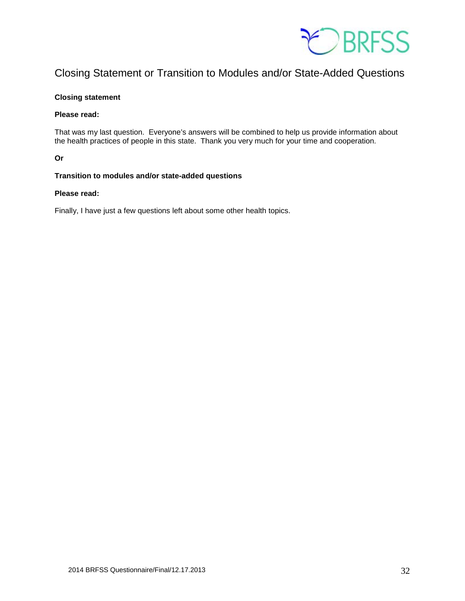

# Closing Statement or Transition to Modules and/or State-Added Questions

#### **Closing statement**

#### **Please read:**

That was my last question. Everyone's answers will be combined to help us provide information about the health practices of people in this state. Thank you very much for your time and cooperation.

### **Or**

### **Transition to modules and/or state-added questions**

#### **Please read:**

Finally, I have just a few questions left about some other health topics.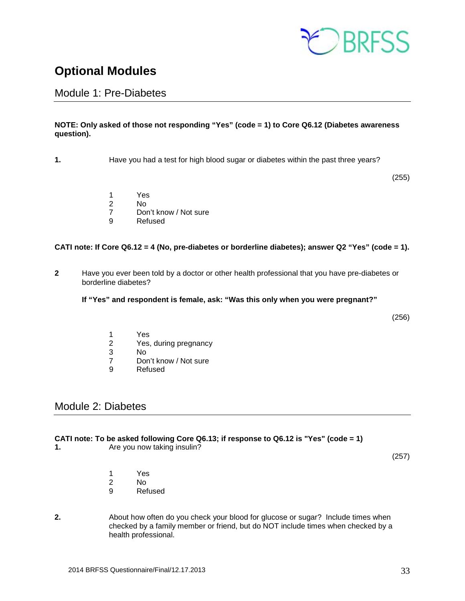

# <span id="page-32-0"></span>**Optional Modules**

## <span id="page-32-1"></span>Module 1: Pre-Diabetes

## **NOTE: Only asked of those not responding "Yes" (code = 1) to Core Q6.12 (Diabetes awareness question).**

**1.** Have you had a test for high blood sugar or diabetes within the past three years?

(255)

- 
- 1 Yes 2 No<br>7 Dor
- 7 Don't know / Not sure<br>9 Refused
- **Refused**

### **CATI note: If Core Q6.12 = 4 (No, pre-diabetes or borderline diabetes); answer Q2 "Yes" (code = 1).**

- **2** Have you ever been told by a doctor or other health professional that you have pre-diabetes or borderline diabetes?
	- **If "Yes" and respondent is female, ask: "Was this only when you were pregnant?"**

(256)

- 1 Yes
- 2 Yes, during pregnancy<br>3 No
- N<sub>o</sub>
- 7 Don't know / Not sure
- 9 Refused

# <span id="page-32-2"></span>Module 2: Diabetes

#### **CATI note: To be asked following Core Q6.13; if response to Q6.12 is "Yes" (code = 1)**

**1.** Are you now taking insulin?

(257)

- 1 Yes
- 2 No
- 9 Refused
- **2.** About how often do you check your blood for glucose or sugar? Include times when checked by a family member or friend, but do NOT include times when checked by a health professional.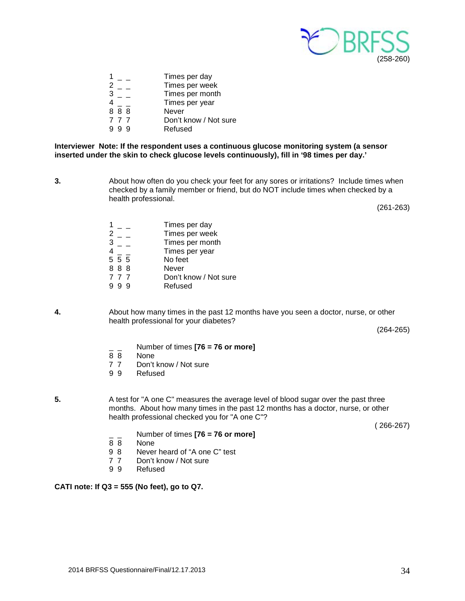

|     | Times per day         |
|-----|-----------------------|
|     | Times per week        |
|     | Times per month       |
|     | Times per year        |
| 888 | Never                 |
| 777 | Don't know / Not sure |
|     | Refused               |
|     |                       |

**Interviewer Note: If the respondent uses a continuous glucose monitoring system (a sensor inserted under the skin to check glucose levels continuously), fill in '98 times per day.'**

**3.** About how often do you check your feet for any sores or irritations? Include times when checked by a family member or friend, but do NOT include times when checked by a health professional.

(261-263)

|     | Times per day         |
|-----|-----------------------|
|     | Times per week        |
|     | Times per month       |
|     | Times per year        |
| 555 | No feet               |
| 888 | Never                 |
| 777 | Don't know / Not sure |
|     | Refused               |
|     |                       |

**4.** About how many times in the past 12 months have you seen a doctor, nurse, or other health professional for your diabetes?

(264-265)

- \_ \_ Number of times **[76 = 76 or more]**
- 8 8 None<br>7 7 Don't
- 7 7 Don't know / Not sure<br>9 9 Refused
- **Refused**

**5.** A test for "A one C" measures the average level of blood sugar over the past three months. About how many times in the past 12 months has a doctor, nurse, or other health professional checked you for "A one C"?

( 266-267)

- \_ \_ Number of times **[76 = 76 or more]**
- 8 8 None<br>9 8 Never
- 9 8 Never heard of "A one C" test<br>7 7 Don't know / Not sure
- 7 7 Don't know / Not sure<br>9 9 Refused
- **Refused**

## **CATI note: If Q3 = 555 (No feet), go to Q7.**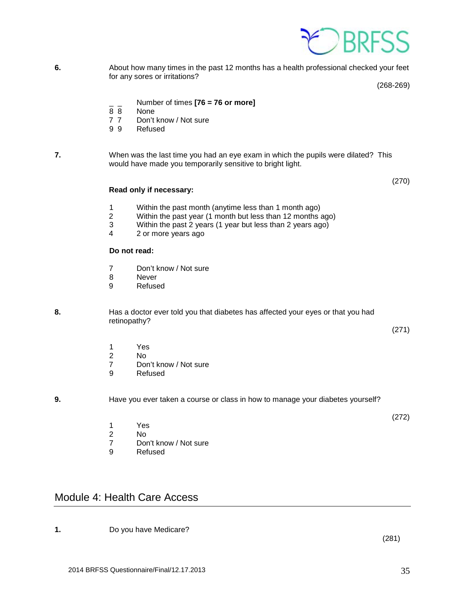

**6.** About how many times in the past 12 months has a health professional checked your feet for any sores or irritations?

(268-269)

(270)

- \_ \_ Number of times **[76 = 76 or more]**
- None
- 7 7 Don't know / Not sure
- 9 9 Refused

**7.** When was the last time you had an eye exam in which the pupils were dilated? This would have made you temporarily sensitive to bright light.

**Read only if necessary:**

- 1 Within the past month (anytime less than 1 month ago)
- 2 Within the past year (1 month but less than 12 months ago)<br>3 Within the past 2 years (1 year but less than 2 years ago)
- 3 Within the past 2 years (1 year but less than 2 years ago)<br>4 2 or more years ago
- 2 or more years ago

### **Do not read:**

- 7 Don't know / Not sure
- 8 Never<br>9 Refuse
- **Refused**

**8.** Has a doctor ever told you that diabetes has affected your eyes or that you had retinopathy?

(271)

(272)

- 1 Yes<br>2 No
- 2 No<br>7 Dor
- Don't know / Not sure
- 9 Refused

**9.** Have you ever taken a course or class in how to manage your diabetes yourself?

- 1 Yes<br>2 No 2 No
- 7 Don't know / Not sure<br>9 Refused
- **Refused**

# <span id="page-34-0"></span>Module 4: Health Care Access

**1.** Do you have Medicare?

 $(281)$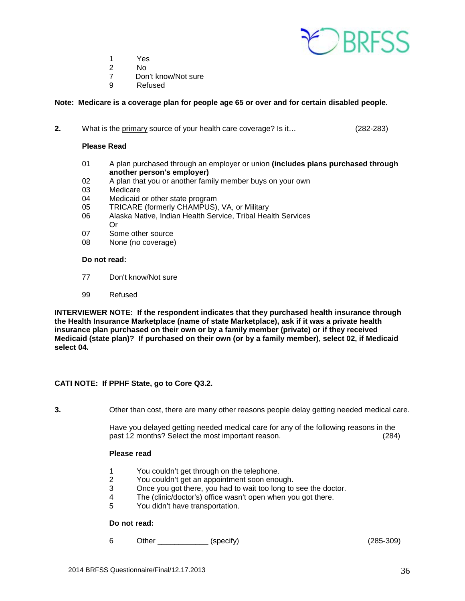

- 1 Yes
- 2 No
- 7 Don't know/Not sure<br>9 Refused
- **Refused**

#### **Note: Medicare is a coverage plan for people age 65 or over and for certain disabled people.**

**2.** What is the primary source of your health care coverage? Is it… (282-283)

#### **Please Read**

- 01 A plan purchased through an employer or union **(includes plans purchased through another person's employer)**
- 02 A plan that you or another family member buys on your own<br>03 Medicare
- Medicare
- 04 Medicaid or other state program
- 05 TRICARE (formerly CHAMPUS), VA, or Military
- 06 Alaska Native, Indian Health Service, Tribal Health Services Or
- 07 Some other source<br>08 None (no coverage)
- None (no coverage)

#### **Do not read:**

- 77 Don't know/Not sure
- 99 Refused

**INTERVIEWER NOTE: If the respondent indicates that they purchased health insurance through the Health Insurance Marketplace (name of state Marketplace), ask if it was a private health insurance plan purchased on their own or by a family member (private) or if they received Medicaid (state plan)? If purchased on their own (or by a family member), select 02, if Medicaid select 04.**

#### **CATI NOTE: If PPHF State, go to Core Q3.2.**

**3.** Other than cost, there are many other reasons people delay getting needed medical care.

Have you delayed getting needed medical care for any of the following reasons in the past 12 months? Select the most important reason. (284)

#### **Please read**

- 1 You couldn't get through on the telephone.<br>2 You couldn't get an appointment soon enou
- 2 You couldn't get an appointment soon enough.<br>3 Once you got there, you had to wait too long to
- 3 Once you got there, you had to wait too long to see the doctor.<br>4 The (clinic/doctor's) office wasn't open when you got there.
- The (clinic/doctor's) office wasn't open when you got there.
- 5 You didn't have transportation.

#### **Do not read:**

6 Other \_\_\_\_\_\_\_\_\_\_\_\_ (specify) (285-309)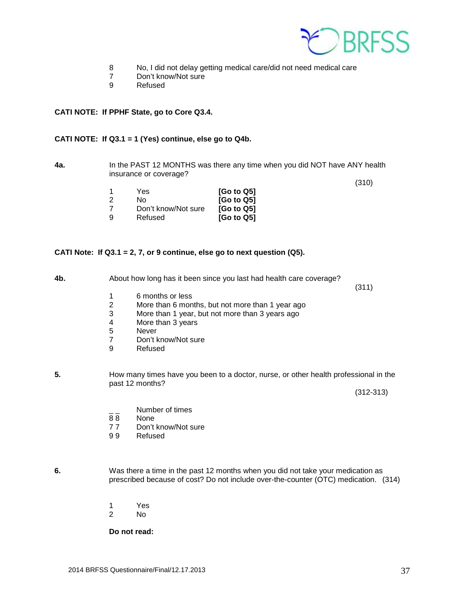

- 8 No, I did not delay getting medical care/did not need medical care
- 7 Don't know/Not sure<br>9 Refused
- **Refused**

#### **CATI NOTE: If PPHF State, go to Core Q3.4.**

### **CATI NOTE: If Q3.1 = 1 (Yes) continue, else go to Q4b.**

**4a.** In the PAST 12 MONTHS was there any time when you did NOT have ANY health insurance or coverage?

|   |                     |                        | (310) |
|---|---------------------|------------------------|-------|
|   | Yes                 | [Go to Q5]             |       |
|   | N٥                  | [Go to Q5]             |       |
|   | Don't know/Not sure | [Go to Q5]             |       |
| a | Refused             | [G <sub>o</sub> to Q5] |       |

#### **CATI Note: If Q3.1 = 2, 7, or 9 continue, else go to next question (Q5).**

**4b.** About how long has it been since you last had health care coverage?

 $(311)$ 

- 1 6 months or less<br>2 More than 6 mon
- 2 More than 6 months, but not more than 1 year ago<br>3 More than 1 year, but not more than 3 years ago
- 3 More than 1 year, but not more than 3 years ago
- 4 More than 3 years<br>5 Never
- 5 Never<br>7 Don't k
- Don't know/Not sure
- 9 Refused
- **5.** How many times have you been to a doctor, nurse, or other health professional in the past 12 months?

(312-313)

- $\frac{1}{2}$  Number of times<br>88 None
- **None**
- 77 Don't know/Not sure<br>99 Refused
- **Refused**

**6.** Was there a time in the past 12 months when you did not take your medication as prescribed because of cost? Do not include over-the-counter (OTC) medication. (314)

- 1 Yes<br>2 No
- No.

**Do not read:**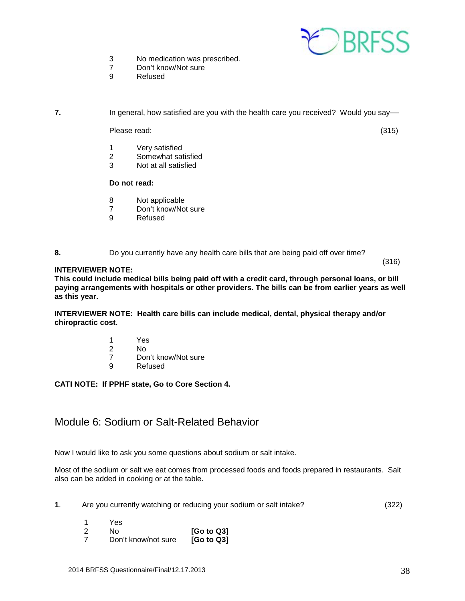

- 3 No medication was prescribed.<br>7 Don't know/Not sure
- Don't know/Not sure
- 9 Refused

**7.** In general, how satisfied are you with the health care you received? Would you say—

Please read: (315)

- 1 Very satisfied
- 2 Somewhat satisfied<br>3 Not at all satisfied
- Not at all satisfied

#### **Do not read:**

- 8 Not applicable
- 7 Don't know/Not sure<br>9 Refused
- **Refused**

#### **8.** Do you currently have any health care bills that are being paid off over time?

#### $(316)$ **INTERVIEWER NOTE:**

**This could include medical bills being paid off with a credit card, through personal loans, or bill paying arrangements with hospitals or other providers. The bills can be from earlier years as well as this year.**

**INTERVIEWER NOTE: Health care bills can include medical, dental, physical therapy and/or chiropractic cost.** 

- 1 Yes<br>2 No
- N<sub>o</sub>
- 7 Don't know/Not sure<br>9 Refused
- **Refused**

#### **CATI NOTE: If PPHF state, Go to Core Section 4.**

## <span id="page-37-0"></span>Module 6: Sodium or Salt-Related Behavior

Now I would like to ask you some questions about sodium or salt intake.

Most of the sodium or salt we eat comes from processed foods and foods prepared in restaurants. Salt also can be added in cooking or at the table.

- **1**. Are you currently watching or reducing your sodium or salt intake? (322)
	- 1 Yes 2 No **[Go to Q3]** Don't know/not sure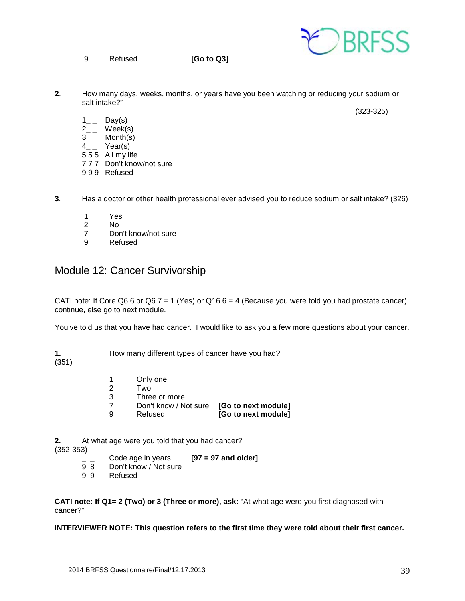- F RRESS
- 9 Refused **[Go to Q3]**

 $2<sub>1</sub>$ **2**. How many days, weeks, months, or years have you been watching or reducing your sodium or salt intake?"

(323-325)

- $1_{--}$  Day(s)
- $2_{-}$  Week(s)
- $3_{-}$  Month(s)
- 4\_ \_ Year(s)
- 5 5 5 All my life
- 7 7 7 Don't know/not sure
- 9 9 9 Refused
- **3**. Has a doctor or other health professional ever advised you to reduce sodium or salt intake? (326)
	- 1 Yes<br>2 No
	- 2 No<br>7 Dor
	- 7 Don't know/not sure<br>9 Refused
	- **Refused**

# <span id="page-38-0"></span>Module 12: Cancer Survivorship

CATI note: If Core Q6.6 or Q6.7 = 1 (Yes) or Q16.6 = 4 (Because you were told you had prostate cancer) continue, else go to next module.

You've told us that you have had cancer. I would like to ask you a few more questions about your cancer.

**1.** How many different types of cancer have you had?

(351)

- 1 Only one<br>2 Two
- 2 Two<br>3 Three
- 3 Three or more<br>7 Don't know / No
- 7 Don't know / Not sure **[Go to next module]**
	- **[Go to next module]**

**2.** At what age were you told that you had cancer? (352-353)

- \_ \_ Code age in years **[97 = 97 and older]**
- 9 8 Don't know / Not sure<br>9 9 Refused
- **Refused**

**CATI note: If Q1= 2 (Two) or 3 (Three or more), ask:** "At what age were you first diagnosed with cancer?"

#### **INTERVIEWER NOTE: This question refers to the first time they were told about their first cancer.**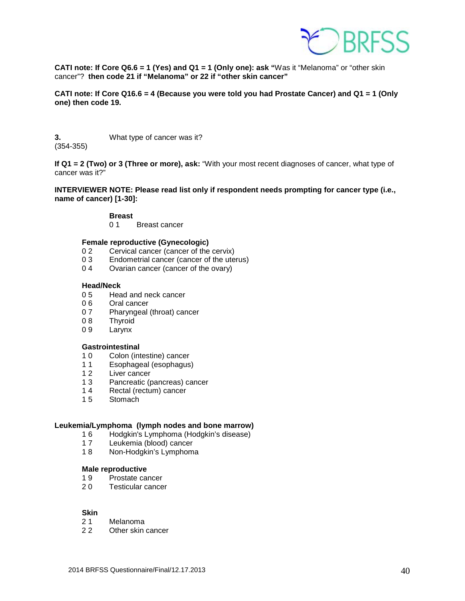

**CATI note: If Core Q6.6 = 1 (Yes) and Q1 = 1 (Only one): ask "**Was it "Melanoma" or "other skin cancer"? **then code 21 if "Melanoma" or 22 if "other skin cancer"**

**CATI note: If Core Q16.6 = 4 (Because you were told you had Prostate Cancer) and Q1 = 1 (Only one) then code 19.**

**3.** What type of cancer was it? (354-355)

**If Q1 = 2 (Two) or 3 (Three or more), ask:** "With your most recent diagnoses of cancer, what type of cancer was it?"

**INTERVIEWER NOTE: Please read list only if respondent needs prompting for cancer type (i.e., name of cancer) [1-30]:**

# **Breast**

**Breast cancer** 

#### **Female reproductive (Gynecologic)**

- 0 2 Cervical cancer (cancer of the cervix)<br>0 3 Endometrial cancer (cancer of the ute
- 0 3 Endometrial cancer (cancer of the uterus)<br>0 4 Ovarian cancer (cancer of the ovary)
- Ovarian cancer (cancer of the ovary)

#### **Head/Neck**

- 0 5 Head and neck cancer
- 0 6 Oral cancer
- 0 7 Pharyngeal (throat) cancer<br>0 8 Thyroid
- 0 8 Thyroid<br>0 9 Larvnx
- Larynx

#### **Gastrointestinal**

- 10 Colon (intestine) cancer<br>11 Esophageal (esophagus)
- Esophageal (esophagus)
- 12 Liver cancer
- 1 3 Pancreatic (pancreas) cancer
- 14 Rectal (rectum) cancer<br>15 Stomach
- Stomach

#### **Leukemia/Lymphoma (lymph nodes and bone marrow)**

- 1 6 Hodgkin's Lymphoma (Hodgkin's disease)
- 17 Leukemia (blood) cancer<br>18 Non-Hodgkin's Lymphom
- Non-Hodgkin's Lymphoma

#### **Male reproductive**

- 1 9 Prostate cancer
- 2 0 Testicular cancer

# **Skin**<br>2 1

- Melanoma
- 2 2 Other skin cancer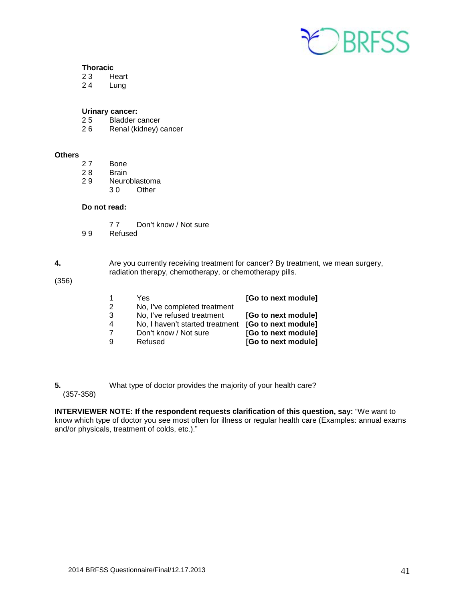

# **Thoracic**<br>23 H

23 Heart<br>24 Lung

**Lung** 

#### **Urinary cancer:**

- 2 5 Bladder cancer<br>2 6 Renal (kidney) c
- Renal (kidney) cancer

#### **Others**

- 2 7 Bone
- 28 Brain<br>29 Neuro
- Neuroblastoma<br>3 0 Other
	- Other

## **Do not read:**

- 77 Don't know / Not sure<br>99 Refused **Refused**
- 

#### **4.** Are you currently receiving treatment for cancer? By treatment, we mean surgery, radiation therapy, chemotherapy, or chemotherapy pills.

(356)

| 2           | Yes<br>No, I've completed treatment                                                               | [Go to next module]                                                                      |
|-------------|---------------------------------------------------------------------------------------------------|------------------------------------------------------------------------------------------|
| 3<br>4<br>9 | No, I've refused treatment<br>No, I haven't started treatment<br>Don't know / Not sure<br>Refused | [Go to next module]<br>[Go to next module]<br>[Go to next module]<br>[Go to next module] |

**5.** What type of doctor provides the majority of your health care? (357-358)

**INTERVIEWER NOTE: If the respondent requests clarification of this question, say:** "We want to know which type of doctor you see most often for illness or regular health care (Examples: annual exams and/or physicals, treatment of colds, etc.)."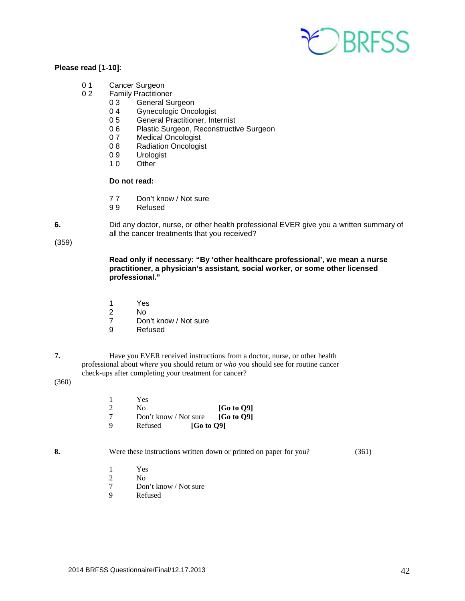

#### **Please read [1-10]:**

- 0 1 Cancer Surgeon<br>0 2 Family Practition
	- **Family Practitioner** 
		- 0 3 General Surgeon<br>0 4 Gynecologic Once
		- Gynecologic Oncologist
		- 0 5 General Practitioner, Internist
		- 0 6 Plastic Surgeon, Reconstructive Surgeon<br>0 7 Medical Oncologist
		- Medical Oncologist
		- 0 8 Radiation Oncologist<br>0 9 Urologist
		- 0 9 Urologist<br>1 0 Other
		- Other

#### **Do not read:**

- 7 7 Don't know / Not sure
- 9 9 Refused
- **6.** Did any doctor, nurse, or other health professional EVER give you a written summary of all the cancer treatments that you received?

(359)

 **Read only if necessary: "By 'other healthcare professional', we mean a nurse practitioner, a physician's assistant, social worker, or some other licensed professional."**

- 1 Yes
- 2 No
	- 7 Don't know / Not sure<br>9 Refused
	- **Refused**
- 

**7.** Have you EVER received instructions from a doctor, nurse, or other health professional about *where* you should return or *who* you should see for routine cancer check-ups after completing your treatment for cancer?

#### (360)

|   | Yes                                          |                        |
|---|----------------------------------------------|------------------------|
|   | N٥                                           | [G <sub>0</sub> to 09] |
|   | Don't know / Not sure $[G_0 \text{ to } Q9]$ |                        |
| Q | <b>[Go to O9]</b><br>Refused                 |                        |

**8. Were these instructions written down or printed on paper for you?** (361)

- 1 Yes
- 2 No
	- 7 Don't know / Not sure
	- 9 Refused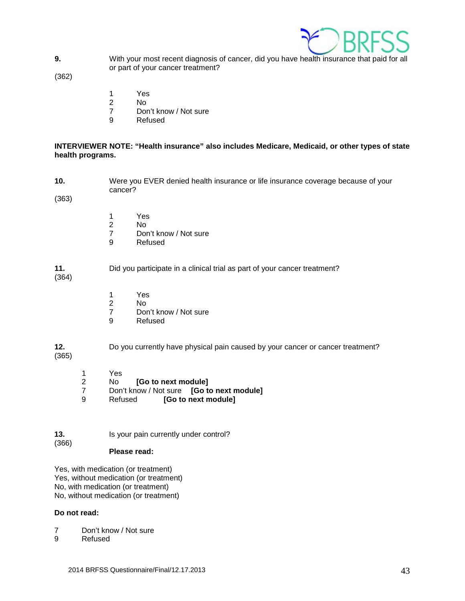

**9.** With your most recent diagnosis of cancer, did you have health insurance that paid for all or part of your cancer treatment?

(362)

- 1 Yes
- 2 No
	- 7 Don't know / Not sure
	- 9 Refused

### **INTERVIEWER NOTE: "Health insurance" also includes Medicare, Medicaid, or other types of state health programs.**

**10.** Were you EVER denied health insurance or life insurance coverage because of your cancer?

(363)

- 1 Yes<br>2 No
- 2 No
	- 7 Don't know / Not sure<br>9 Refused
	- **Refused**

### **11.** Did you participate in a clinical trial as part of your cancer treatment?

(364)

- 1 Yes
- 2 No
	- 7 Don't know / Not sure<br>9 Refused
	- **Refused**

**12.** Do you currently have physical pain caused by your cancer or cancer treatment?

- (365)
- 1 Yes 2 No **[Go to next module]**
- 7 Don't know / Not sure **[Go to next module]**
- [Go to next module]
- **13.** Is your pain currently under control? (366)

## **Please read:**

Yes, with medication (or treatment) Yes, without medication (or treatment) No, with medication (or treatment) No, without medication (or treatment)

#### **Do not read:**

- 7 Don't know / Not sure
- 9 Refused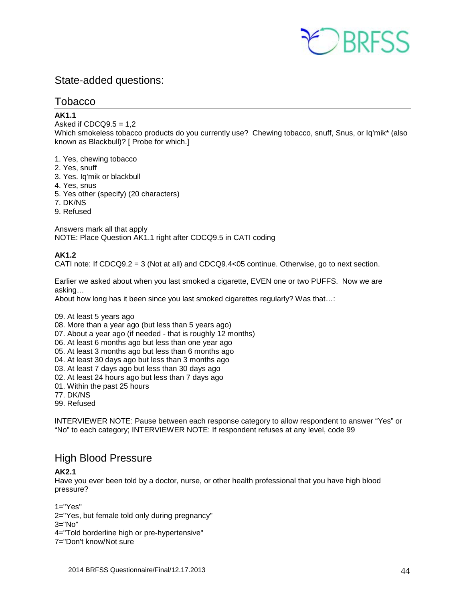

# <span id="page-43-0"></span>State-added questions:

## <span id="page-43-1"></span>**Tobacco**

## **AK1.1**

Asked if  $CDCQ9.5 = 1.2$ 

Which smokeless tobacco products do you currently use? Chewing tobacco, snuff, Snus, or Iq'mik\* (also known as Blackbull)? [ Probe for which.]

- 1. Yes, chewing tobacco
- 2. Yes, snuff
- 3. Yes. Iq'mik or blackbull
- 4. Yes, snus
- 5. Yes other (specify) (20 characters)
- 7. DK/NS
- 9. Refused

Answers mark all that apply NOTE: Place Question AK1.1 right after CDCQ9.5 in CATI coding

## **AK1.2**

CATI note: If CDCQ9.2 = 3 (Not at all) and CDCQ9.4<05 continue. Otherwise, go to next section.

Earlier we asked about when you last smoked a cigarette, EVEN one or two PUFFS. Now we are asking…

About how long has it been since you last smoked cigarettes regularly? Was that…:

- 09. At least 5 years ago
- 08. More than a year ago (but less than 5 years ago)
- 07. About a year ago (if needed that is roughly 12 months)
- 06. At least 6 months ago but less than one year ago
- 05. At least 3 months ago but less than 6 months ago
- 04. At least 30 days ago but less than 3 months ago
- 03. At least 7 days ago but less than 30 days ago
- 02. At least 24 hours ago but less than 7 days ago
- 01. Within the past 25 hours
- 77. DK/NS
- 99. Refused

INTERVIEWER NOTE: Pause between each response category to allow respondent to answer "Yes" or "No" to each category; INTERVIEWER NOTE: If respondent refuses at any level, code 99

# <span id="page-43-2"></span>High Blood Pressure

## **AK2.1**

Have you ever been told by a doctor, nurse, or other health professional that you have high blood pressure?

 $1 = "Yes"$ 

- 2="Yes, but female told only during pregnancy"
- 3="No"
- 4="Told borderline high or pre-hypertensive"
- 7="Don't know/Not sure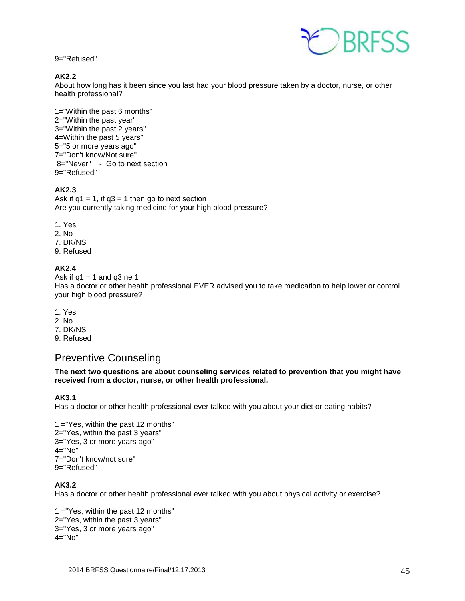9="Refused"



## **AK2.2**

About how long has it been since you last had your blood pressure taken by a doctor, nurse, or other health professional?

1="Within the past 6 months" 2="Within the past year" 3="Within the past 2 years" 4=Within the past 5 years" 5="5 or more years ago" 7="Don't know/Not sure" 8="Never" - Go to next section 9="Refused"

## **AK2.3**

Ask if  $q1 = 1$ , if  $q3 = 1$  then go to next section Are you currently taking medicine for your high blood pressure?

- 1. Yes
- 2. No
- 7. DK/NS
- 9. Refused

## **AK2.4**

Ask if  $q1 = 1$  and  $q3$  ne 1 Has a doctor or other health professional EVER advised you to take medication to help lower or control your high blood pressure?

- 1. Yes
- 2. No
- 7. DK/NS
- <span id="page-44-0"></span>9. Refused

# Preventive Counseling

**The next two questions are about counseling services related to prevention that you might have received from a doctor, nurse, or other health professional.**

## **AK3.1**

Has a doctor or other health professional ever talked with you about your diet or eating habits?

1 ="Yes, within the past 12 months" 2="Yes, within the past 3 years" 3="Yes, 3 or more years ago" 4="No" 7="Don't know/not sure" 9="Refused"

## **AK3.2**

Has a doctor or other health professional ever talked with you about physical activity or exercise?

1 ="Yes, within the past 12 months" 2="Yes, within the past 3 years" 3="Yes, 3 or more years ago"  $4=$ "No"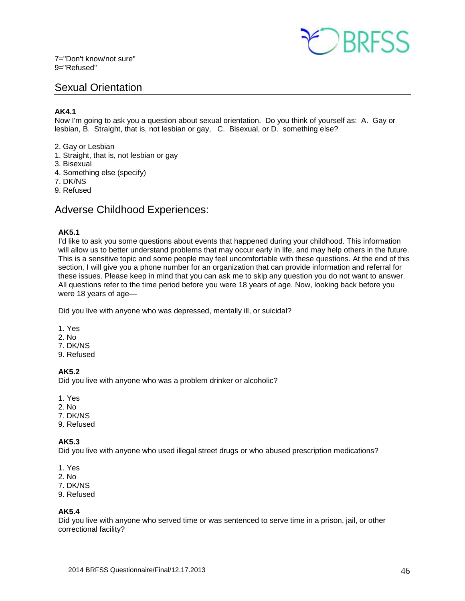

# <span id="page-45-0"></span>Sexual Orientation

## **AK4.1**

Now I'm going to ask you a question about sexual orientation. Do you think of yourself as: A. Gay or lesbian, B. Straight, that is, not lesbian or gay, C. Bisexual, or D. something else?

- 2. Gay or Lesbian
- 1. Straight, that is, not lesbian or gay
- 3. Bisexual
- 4. Something else (specify)
- 7. DK/NS
- <span id="page-45-1"></span>9. Refused

# Adverse Childhood Experiences:

## **AK5.1**

I'd like to ask you some questions about events that happened during your childhood. This information will allow us to better understand problems that may occur early in life, and may help others in the future. This is a sensitive topic and some people may feel uncomfortable with these questions. At the end of this section, I will give you a phone number for an organization that can provide information and referral for these issues. Please keep in mind that you can ask me to skip any question you do not want to answer. All questions refer to the time period before you were 18 years of age. Now, looking back before you were 18 years of age—

Did you live with anyone who was depressed, mentally ill, or suicidal?

- 1. Yes
- 2. No
- 7. DK/NS
- 9. Refused

## **AK5.2**

Did you live with anyone who was a problem drinker or alcoholic?

- 1. Yes
- 2. No
- 7. DK/NS
- 9. Refused

## **AK5.3**

Did you live with anyone who used illegal street drugs or who abused prescription medications?

- 1. Yes
- 2. No
- 7. DK/NS
- 9. Refused

#### **AK5.4**

Did you live with anyone who served time or was sentenced to serve time in a prison, jail, or other correctional facility?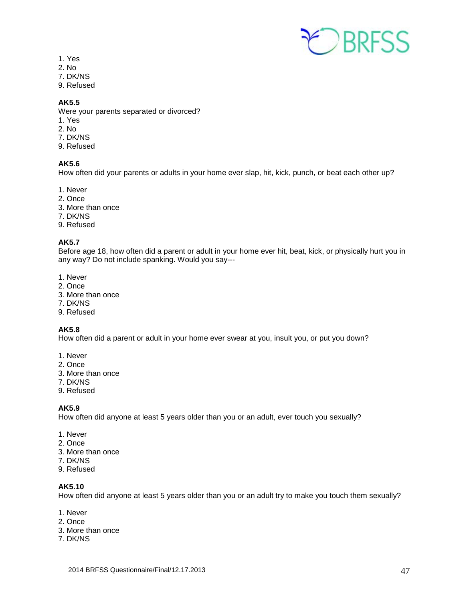

- 1. Yes
- 2. No
- 7. DK/NS
- 9. Refused

## **AK5.5**

Were your parents separated or divorced?

- 1. Yes
- 2. No
- 7. DK/NS
- 9. Refused

## **AK5.6**

How often did your parents or adults in your home ever slap, hit, kick, punch, or beat each other up?

- 1. Never
- 2. Once
- 3. More than once
- 7. DK/NS
- 9. Refused

### **AK5.7**

Before age 18, how often did a parent or adult in your home ever hit, beat, kick, or physically hurt you in any way? Do not include spanking. Would you say---

- 1. Never
- 2. Once
- 3. More than once
- 7. DK/NS
- 9. Refused

#### **AK5.8**

How often did a parent or adult in your home ever swear at you, insult you, or put you down?

- 1. Never
- 2. Once
- 3. More than once
- 7. DK/NS
- 9. Refused

#### **AK5.9**

How often did anyone at least 5 years older than you or an adult, ever touch you sexually?

- 1. Never
- 2. Once
- 3. More than once
- 7. DK/NS
- 9. Refused

## **AK5.10**

How often did anyone at least 5 years older than you or an adult try to make you touch them sexually?

- 1. Never
- 2. Once
- 3. More than once
- 7. DK/NS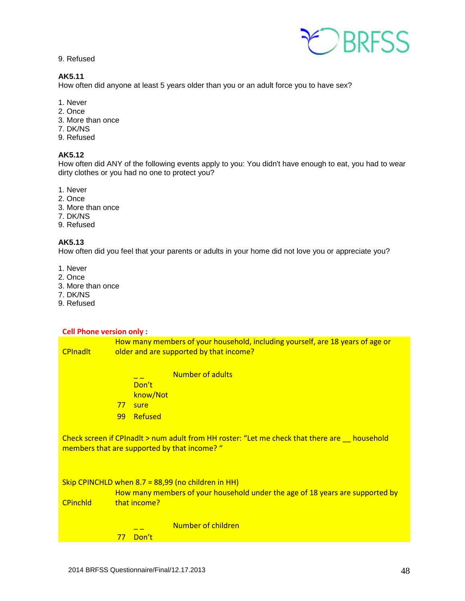9. Refused

## **AK5.11**

How often did anyone at least 5 years older than you or an adult force you to have sex?

- 1. Never
- 2. Once
- 3. More than once
- 7. DK/NS
- 9. Refused

### **AK5.12**

How often did ANY of the following events apply to you: You didn't have enough to eat, you had to wear dirty clothes or you had no one to protect you?

- 1. Never
- 2. Once
- 3. More than once
- 7. DK/NS
- 9. Refused

#### **AK5.13**

How often did you feel that your parents or adults in your home did not love you or appreciate you?

- 1. Never
- 2. Once
- 3. More than once
- 7. DK/NS
- 9. Refused

#### **Cell Phone version only :**

**CPInadlt** How many members of your household, including yourself, are 18 years of age or older and are supported by that income?

- $\frac{1}{1-z}$  Number of adults
- Don't
- know/Not
- <mark>77 sure</mark>
- 99 Refused

Check screen if CPInadlt > num adult from HH roster: "Let me check that there are \_\_ household members that are supported by that income? "

#### Skip CPINCHLD when 8.7 = 88,99 (no children in HH)

CPinchld How many members of your household under the age of 18 years are supported by that income?

## Number of children 77 Don't